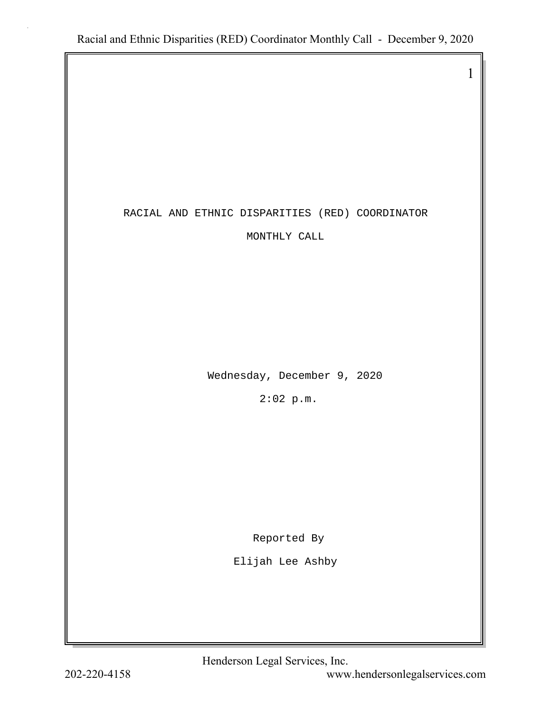### RACIAL AND ETHNIC DISPARITIES (RED) COORDINATOR

MONTHLY CALL

Wednesday, December 9, 2020

2:02 p.m.

Reported By

Elijah Lee Ashby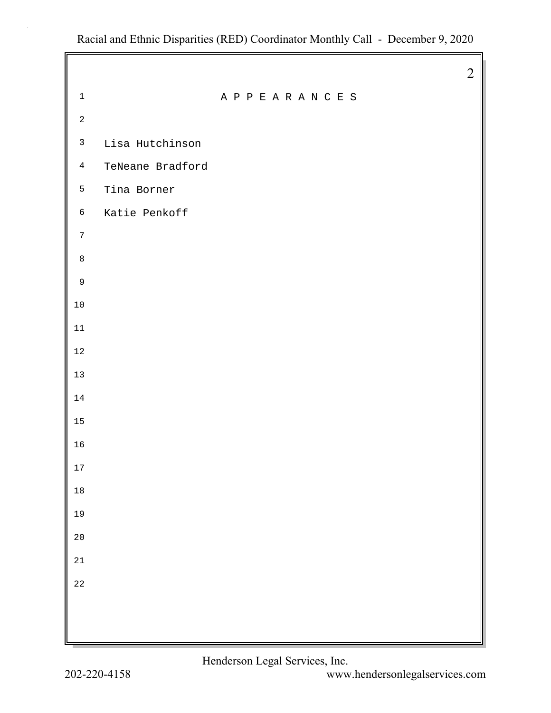|                |                  |  |             |  |  |  |  | $\overline{2}$ |
|----------------|------------------|--|-------------|--|--|--|--|----------------|
| $\mathbf 1$    |                  |  | APPEARANCES |  |  |  |  |                |
| $\sqrt{2}$     |                  |  |             |  |  |  |  |                |
| $\mathfrak{Z}$ | Lisa Hutchinson  |  |             |  |  |  |  |                |
| $\overline{4}$ | TeNeane Bradford |  |             |  |  |  |  |                |
| 5              | Tina Borner      |  |             |  |  |  |  |                |
| $\epsilon$     | Katie Penkoff    |  |             |  |  |  |  |                |
| $\sqrt{ }$     |                  |  |             |  |  |  |  |                |
| $\,8\,$        |                  |  |             |  |  |  |  |                |
| $\mathsf 9$    |                  |  |             |  |  |  |  |                |
| $10\,$         |                  |  |             |  |  |  |  |                |
| $11\,$         |                  |  |             |  |  |  |  |                |
| $1\,2$         |                  |  |             |  |  |  |  |                |
| $13$           |                  |  |             |  |  |  |  |                |
| $14\,$         |                  |  |             |  |  |  |  |                |
| $15\,$         |                  |  |             |  |  |  |  |                |
| 16             |                  |  |             |  |  |  |  |                |
| 17             |                  |  |             |  |  |  |  |                |
| $18\,$         |                  |  |             |  |  |  |  |                |
| 19             |                  |  |             |  |  |  |  |                |
| $2\,0$         |                  |  |             |  |  |  |  |                |
| $21\,$         |                  |  |             |  |  |  |  |                |
| $2\sqrt{2}$    |                  |  |             |  |  |  |  |                |
|                |                  |  |             |  |  |  |  |                |
|                |                  |  |             |  |  |  |  |                |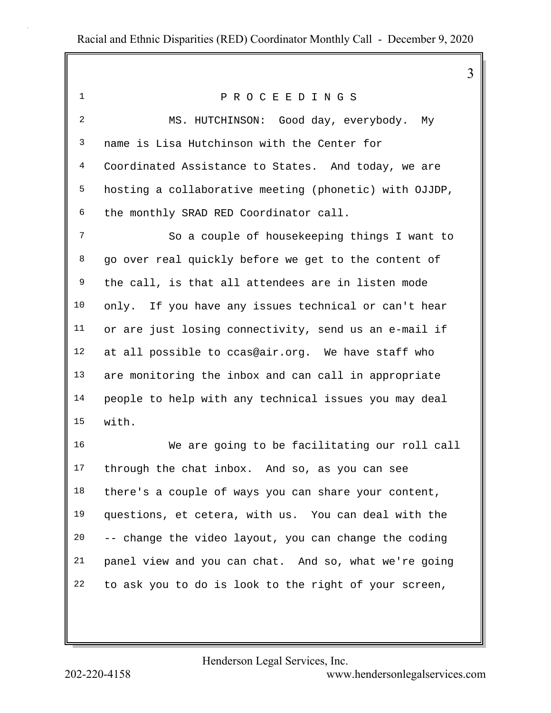1 P R O C E E D I N G S 2 MS. HUTCHINSON: Good day, everybody. My 3 name is Lisa Hutchinson with the Center for 4 Coordinated Assistance to States. And today, we are 5 hosting a collaborative meeting (phonetic) with OJJDP, 6 the monthly SRAD RED Coordinator call. 7 So a couple of housekeeping things I want to 8 go over real quickly before we get to the content of 9 the call, is that all attendees are in listen mode 10 only. If you have any issues technical or can't hear 11 or are just losing connectivity, send us an e-mail if 12 at all possible to ccas@air.org. We have staff who 13 are monitoring the inbox and can call in appropriate 14 people to help with any technical issues you may deal 15 with. 16 We are going to be facilitating our roll call 17 through the chat inbox. And so, as you can see 18 there's a couple of ways you can share your content, 19 questions, et cetera, with us. You can deal with the 20 -- change the video layout, you can change the coding 21 panel view and you can chat. And so, what we're going 22 to ask you to do is look to the right of your screen,

Henderson Legal Services, Inc.

202-220-4158 <www.hendersonlegalservices.com>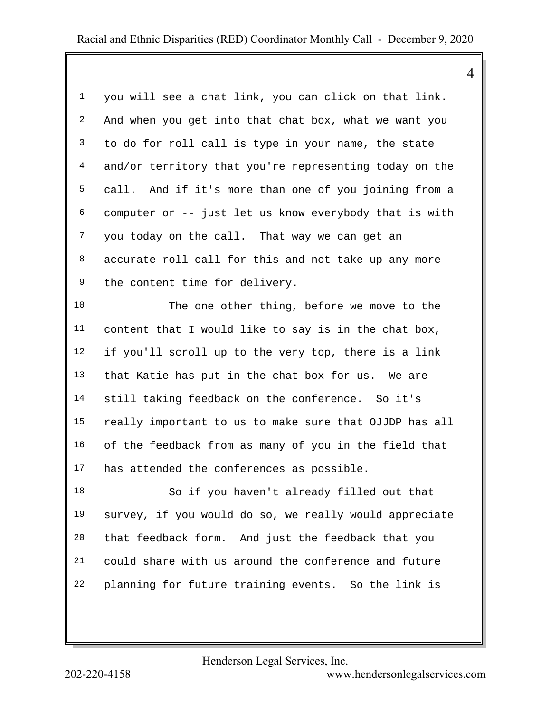|                |                                                        | 4 |
|----------------|--------------------------------------------------------|---|
| $\mathbf{1}$   | you will see a chat link, you can click on that link.  |   |
| $\overline{a}$ | And when you get into that chat box, what we want you  |   |
| $\mathbf{3}$   | to do for roll call is type in your name, the state    |   |
| $\overline{4}$ | and/or territory that you're representing today on the |   |
| 5              | call. And if it's more than one of you joining from a  |   |
| 6              | computer or -- just let us know everybody that is with |   |
| 7              | you today on the call. That way we can get an          |   |
| 8              | accurate roll call for this and not take up any more   |   |
| 9              | the content time for delivery.                         |   |
| 10             | The one other thing, before we move to the             |   |
| 11             | content that I would like to say is in the chat box,   |   |
| 12             | if you'll scroll up to the very top, there is a link   |   |
| 13             | that Katie has put in the chat box for us. We are      |   |
| 14             | still taking feedback on the conference. So it's       |   |
| 15             | really important to us to make sure that OJJDP has all |   |
| 16             | of the feedback from as many of you in the field that  |   |
| 17             | has attended the conferences as possible.              |   |
| 18             | So if you haven't already filled out that              |   |
| 19             | survey, if you would do so, we really would appreciate |   |
| 20             | that feedback form. And just the feedback that you     |   |
| 21             | could share with us around the conference and future   |   |
| 22             | planning for future training events. So the link is    |   |
|                |                                                        |   |

Henderson Legal Services, Inc.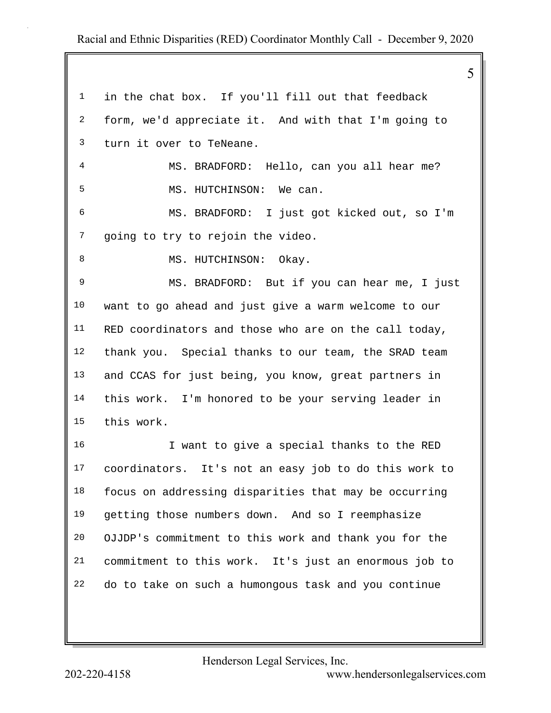|             |                                                       | 5 |
|-------------|-------------------------------------------------------|---|
| $\mathbf 1$ | in the chat box. If you'll fill out that feedback     |   |
| 2           | form, we'd appreciate it. And with that I'm going to  |   |
| 3           | turn it over to TeNeane.                              |   |
| 4           | MS. BRADFORD: Hello, can you all hear me?             |   |
| 5           | MS. HUTCHINSON: We can.                               |   |
| 6           | MS. BRADFORD: I just got kicked out, so I'm           |   |
| 7           | going to try to rejoin the video.                     |   |
| 8           | MS. HUTCHINSON: Okay.                                 |   |
| 9           | MS. BRADFORD: But if you can hear me, I just          |   |
| 10          | want to go ahead and just give a warm welcome to our  |   |
| 11          | RED coordinators and those who are on the call today, |   |
| 12          | thank you. Special thanks to our team, the SRAD team  |   |
| 13          | and CCAS for just being, you know, great partners in  |   |
| 14          | this work. I'm honored to be your serving leader in   |   |
| 15          | this work.                                            |   |
| 16          | I want to give a special thanks to the RED            |   |
| 17          | coordinators. It's not an easy job to do this work to |   |
| 18          | focus on addressing disparities that may be occurring |   |
| 19          | getting those numbers down. And so I reemphasize      |   |
| 20          | OJJDP's commitment to this work and thank you for the |   |
| 21          | commitment to this work. It's just an enormous job to |   |
| 22          | do to take on such a humongous task and you continue  |   |
|             |                                                       |   |

Henderson Legal Services, Inc.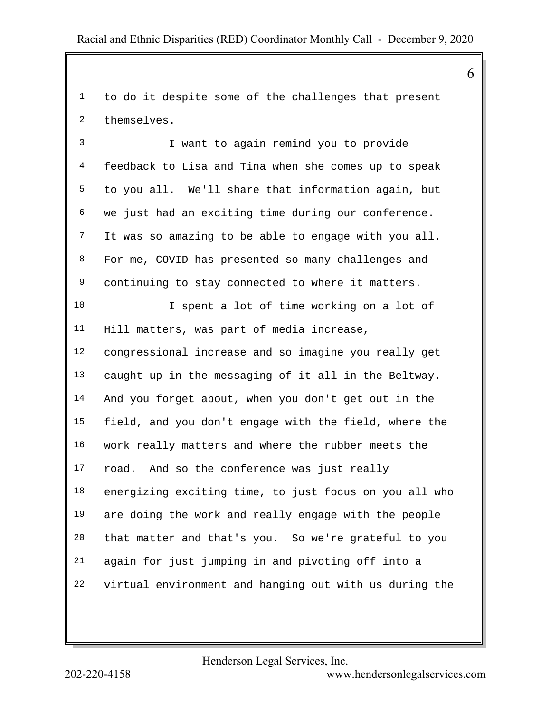1 to do it despite some of the challenges that present 2 themselves.

3 I want to again remind you to provide 4 feedback to Lisa and Tina when she comes up to speak 5 to you all. We'll share that information again, but 6 we just had an exciting time during our conference. 7 It was so amazing to be able to engage with you all. 8 For me, COVID has presented so many challenges and 9 continuing to stay connected to where it matters. 10 I spent a lot of time working on a lot of 11 Hill matters, was part of media increase,

12 congressional increase and so imagine you really get 13 caught up in the messaging of it all in the Beltway. 14 And you forget about, when you don't get out in the 15 field, and you don't engage with the field, where the 16 work really matters and where the rubber meets the 17 road. And so the conference was just really 18 energizing exciting time, to just focus on you all who 19 are doing the work and really engage with the people 20 that matter and that's you. So we're grateful to you 21 again for just jumping in and pivoting off into a 22 virtual environment and hanging out with us during the

Henderson Legal Services, Inc.

202-220-4158 <www.hendersonlegalservices.com>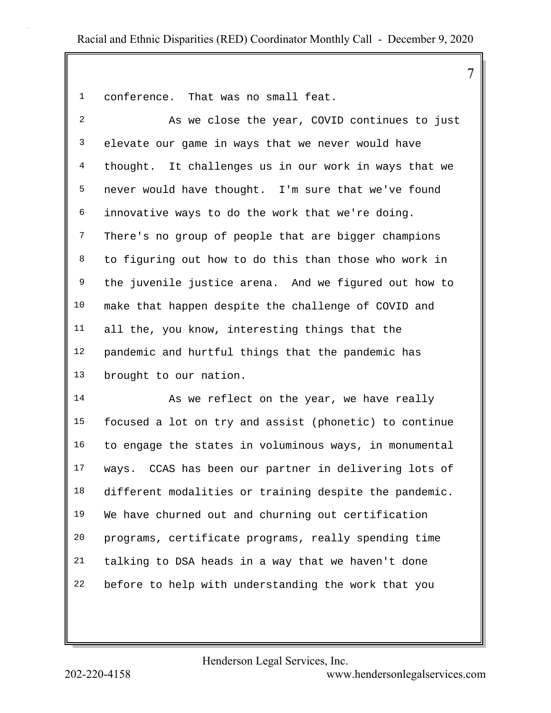1 conference. That was no small feat.

| $\overline{a}$ | As we close the year, COVID continues to just         |
|----------------|-------------------------------------------------------|
| 3              | elevate our game in ways that we never would have     |
| 4              | thought. It challenges us in our work in ways that we |
| 5              | never would have thought. I'm sure that we've found   |
| 6              | innovative ways to do the work that we're doing.      |
| 7              | There's no group of people that are bigger champions  |
| 8              | to figuring out how to do this than those who work in |
| 9              | the juvenile justice arena. And we figured out how to |
| 10             | make that happen despite the challenge of COVID and   |
| 11             | all the, you know, interesting things that the        |
| 12             | pandemic and hurtful things that the pandemic has     |
| 13             | brought to our nation.                                |

14 As we reflect on the year, we have really 15 focused a lot on try and assist (phonetic) to continue 16 to engage the states in voluminous ways, in monumental 17 ways. CCAS has been our partner in delivering lots of 18 different modalities or training despite the pandemic. 19 We have churned out and churning out certification 20 programs, certificate programs, really spending time 21 talking to DSA heads in a way that we haven't done 22 before to help with understanding the work that you

Henderson Legal Services, Inc.

202-220-4158 <www.hendersonlegalservices.com>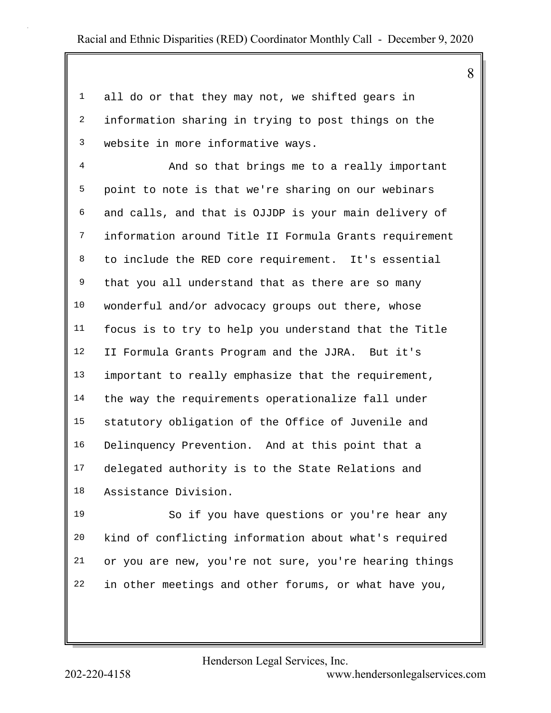1 all do or that they may not, we shifted gears in 2 information sharing in trying to post things on the 3 website in more informative ways. 4 And so that brings me to a really important 5 point to note is that we're sharing on our webinars 6 and calls, and that is OJJDP is your main delivery of 7 information around Title II Formula Grants requirement 8 to include the RED core requirement. It's essential 9 that you all understand that as there are so many 10 wonderful and/or advocacy groups out there, whose 11 focus is to try to help you understand that the Title 12 II Formula Grants Program and the JJRA. But it's 13 important to really emphasize that the requirement, 14 the way the requirements operationalize fall under 15 statutory obligation of the Office of Juvenile and 16 Delinquency Prevention. And at this point that a 17 delegated authority is to the State Relations and 18 Assistance Division. 19 So if you have questions or you're hear any

20 kind of conflicting information about what's required 21 or you are new, you're not sure, you're hearing things 22 in other meetings and other forums, or what have you,

Henderson Legal Services, Inc.

202-220-4158 <www.hendersonlegalservices.com>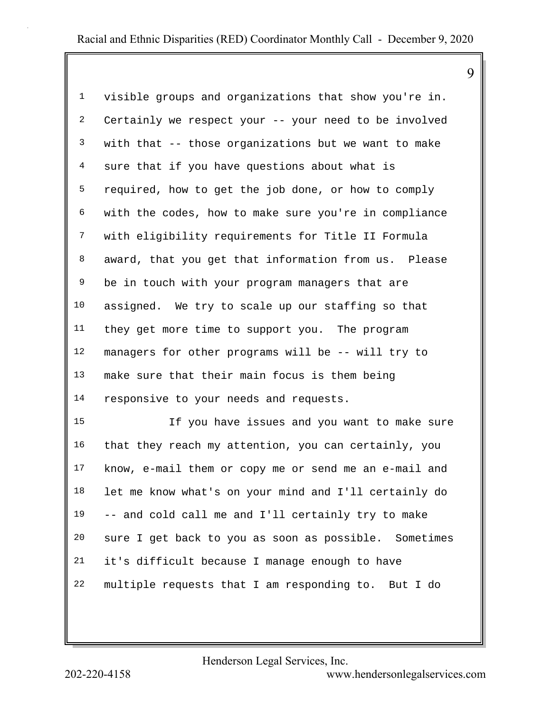1 visible groups and organizations that show you're in. 2 Certainly we respect your -- your need to be involved 3 with that -- those organizations but we want to make 4 sure that if you have questions about what is 5 required, how to get the job done, or how to comply 6 with the codes, how to make sure you're in compliance 7 with eligibility requirements for Title II Formula 8 award, that you get that information from us. Please 9 be in touch with your program managers that are 10 assigned. We try to scale up our staffing so that 11 they get more time to support you. The program 12 managers for other programs will be -- will try to 13 make sure that their main focus is them being 14 responsive to your needs and requests.

15 If you have issues and you want to make sure 16 that they reach my attention, you can certainly, you 17 know, e-mail them or copy me or send me an e-mail and 18 let me know what's on your mind and I'll certainly do 19 -- and cold call me and I'll certainly try to make 20 sure I get back to you as soon as possible. Sometimes 21 it's difficult because I manage enough to have 22 multiple requests that I am responding to. But I do

Henderson Legal Services, Inc.

202-220-4158 <www.hendersonlegalservices.com>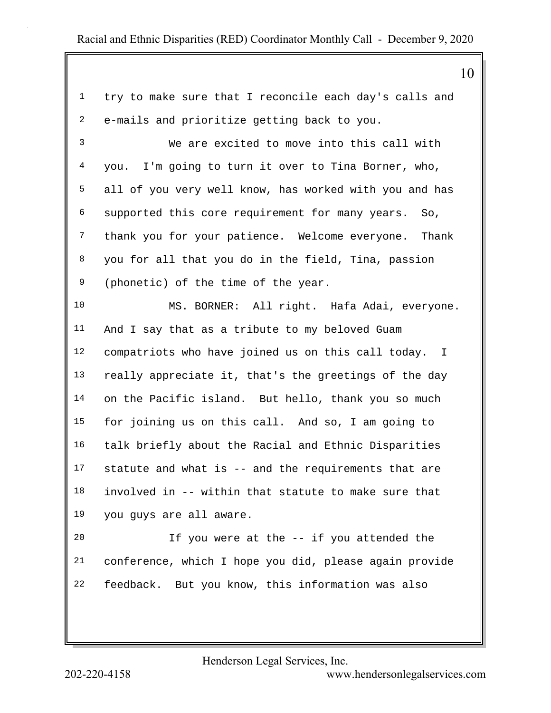|                | 10                                                     |
|----------------|--------------------------------------------------------|
| $\mathbf{1}$   | try to make sure that I reconcile each day's calls and |
| 2              | e-mails and prioritize getting back to you.            |
| 3              | We are excited to move into this call with             |
| $\overline{4}$ | you. I'm going to turn it over to Tina Borner, who,    |
| 5              | all of you very well know, has worked with you and has |
| 6              | supported this core requirement for many years.<br>So, |
| 7              | thank you for your patience. Welcome everyone. Thank   |
| 8              | you for all that you do in the field, Tina, passion    |
| 9              | (phonetic) of the time of the year.                    |
| 10             | MS. BORNER: All right. Hafa Adai, everyone.            |
| 11             | And I say that as a tribute to my beloved Guam         |
| 12             | compatriots who have joined us on this call today. I   |
| 13             | really appreciate it, that's the greetings of the day  |
| 14             | on the Pacific island. But hello, thank you so much    |
| 15             | for joining us on this call. And so, I am going to     |
| 16             | talk briefly about the Racial and Ethnic Disparities   |
| 17             | statute and what is -- and the requirements that are   |
| 18             | involved in -- within that statute to make sure that   |
| 19             | you guys are all aware.                                |
| 20             | If you were at the -- if you attended the              |
| 21             | conference, which I hope you did, please again provide |
| 22             | feedback. But you know, this information was also      |
|                |                                                        |

Henderson Legal Services, Inc.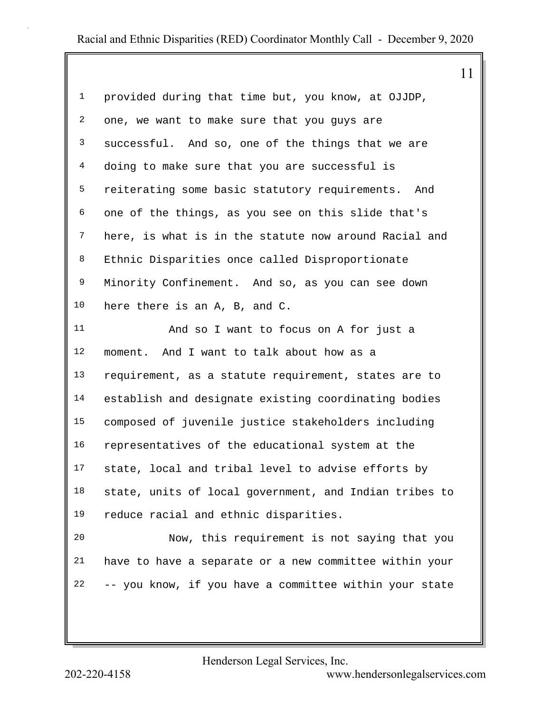| $\mathbf 1$    | provided during that time but, you know, at OJJDP,     |
|----------------|--------------------------------------------------------|
| $\overline{a}$ | one, we want to make sure that you guys are            |
| $\mathfrak{Z}$ | successful. And so, one of the things that we are      |
| $\overline{4}$ | doing to make sure that you are successful is          |
| 5              | reiterating some basic statutory requirements. And     |
| 6              | one of the things, as you see on this slide that's     |
| 7              | here, is what is in the statute now around Racial and  |
| 8              | Ethnic Disparities once called Disproportionate        |
| 9              | Minority Confinement. And so, as you can see down      |
| 10             | here there is an A, B, and C.                          |
| 11             | And so I want to focus on A for just a                 |
| 12             | moment. And I want to talk about how as a              |
| 13             | requirement, as a statute requirement, states are to   |
| 14             | establish and designate existing coordinating bodies   |
| 15             | composed of juvenile justice stakeholders including    |
| 16             | representatives of the educational system at the       |
| 17             | state, local and tribal level to advise efforts by     |
| 18             | state, units of local government, and Indian tribes to |
| 19             | reduce racial and ethnic disparities.                  |
| 20             | Now, this requirement is not saying that you           |
| 21             | have to have a separate or a new committee within your |
| 22             | -- you know, if you have a committee within your state |
|                |                                                        |

Henderson Legal Services, Inc.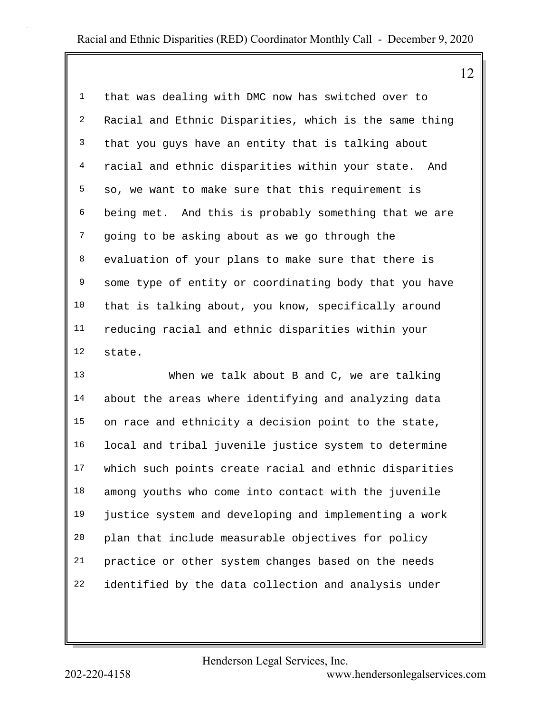12

1 that was dealing with DMC now has switched over to 2 Racial and Ethnic Disparities, which is the same thing 3 that you guys have an entity that is talking about 4 racial and ethnic disparities within your state. And 5 so, we want to make sure that this requirement is 6 being met. And this is probably something that we are 7 going to be asking about as we go through the 8 evaluation of your plans to make sure that there is 9 some type of entity or coordinating body that you have 10 that is talking about, you know, specifically around 11 reducing racial and ethnic disparities within your 12 state.

13 When we talk about B and C, we are talking 14 about the areas where identifying and analyzing data 15 on race and ethnicity a decision point to the state, 16 local and tribal juvenile justice system to determine 17 which such points create racial and ethnic disparities 18 among youths who come into contact with the juvenile 19 justice system and developing and implementing a work 20 plan that include measurable objectives for policy 21 practice or other system changes based on the needs 22 identified by the data collection and analysis under

Henderson Legal Services, Inc.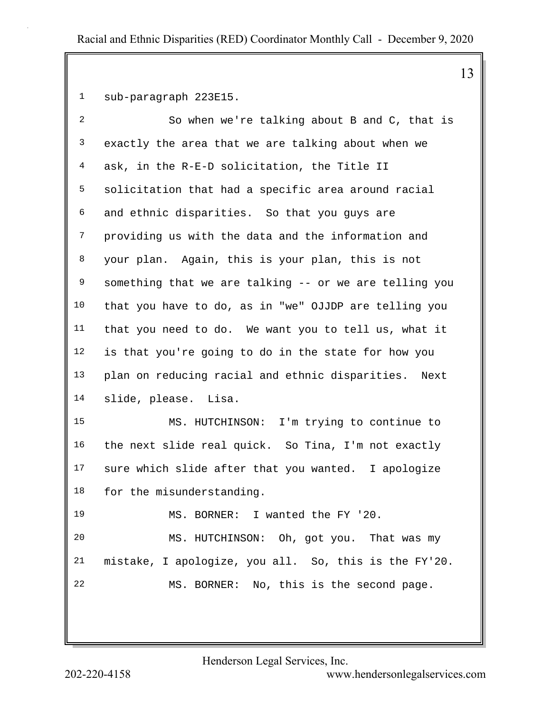1 sub-paragraph 223E15.

| $\overline{a}$ | So when we're talking about B and C, that is           |
|----------------|--------------------------------------------------------|
| 3              | exactly the area that we are talking about when we     |
| 4              | ask, in the R-E-D solicitation, the Title II           |
| 5              | solicitation that had a specific area around racial    |
| 6              | and ethnic disparities. So that you guys are           |
| 7              | providing us with the data and the information and     |
| 8              | your plan. Again, this is your plan, this is not       |
| 9              | something that we are talking -- or we are telling you |
| 10             | that you have to do, as in "we" OJJDP are telling you  |
| 11             | that you need to do. We want you to tell us, what it   |
| 12             | is that you're going to do in the state for how you    |
| 13             | plan on reducing racial and ethnic disparities. Next   |
| 14             | slide, please. Lisa.                                   |
| 15             | MS. HUTCHINSON: I'm trying to continue to              |
| 16             | the next slide real quick. So Tina, I'm not exactly    |
| 17             | sure which slide after that you wanted. I apologize    |
| 18             | for the misunderstanding.                              |
| 19             | MS. BORNER: I wanted the FY '20.                       |
| 20             | MS. HUTCHINSON: Oh, got you. That was my               |
| 21             | mistake, I apologize, you all. So, this is the FY'20.  |
| 22             | MS. BORNER: No, this is the second page.               |
|                |                                                        |

Henderson Legal Services, Inc.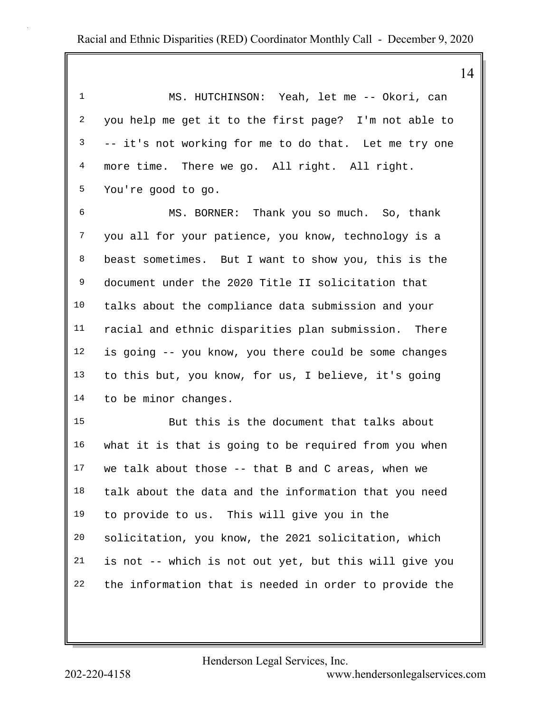| 1                       | MS. HUTCHINSON: Yeah, let me -- Okori, can             |
|-------------------------|--------------------------------------------------------|
| $\overline{\mathbf{c}}$ | you help me get it to the first page? I'm not able to  |
| 3                       | -- it's not working for me to do that. Let me try one  |
| $\overline{4}$          | more time. There we go. All right. All right.          |
| 5                       | You're good to go.                                     |
| б                       | MS. BORNER: Thank you so much. So, thank               |
| 7                       | you all for your patience, you know, technology is a   |
| 8                       | beast sometimes. But I want to show you, this is the   |
| 9                       | document under the 2020 Title II solicitation that     |
| 10                      | talks about the compliance data submission and your    |
| 11                      | racial and ethnic disparities plan submission. There   |
| 12                      | is going -- you know, you there could be some changes  |
| 13                      | to this but, you know, for us, I believe, it's going   |
| 14                      | to be minor changes.                                   |
| 15                      | But this is the document that talks about              |
| 16                      | what it is that is going to be required from you when  |
| 17                      | we talk about those -- that B and C areas, when we     |
| 18                      | talk about the data and the information that you need  |
| 19                      | to provide to us. This will give you in the            |
| 20                      | solicitation, you know, the 2021 solicitation, which   |
| 21                      | is not -- which is not out yet, but this will give you |
| 22                      | the information that is needed in order to provide the |

Henderson Legal Services, Inc.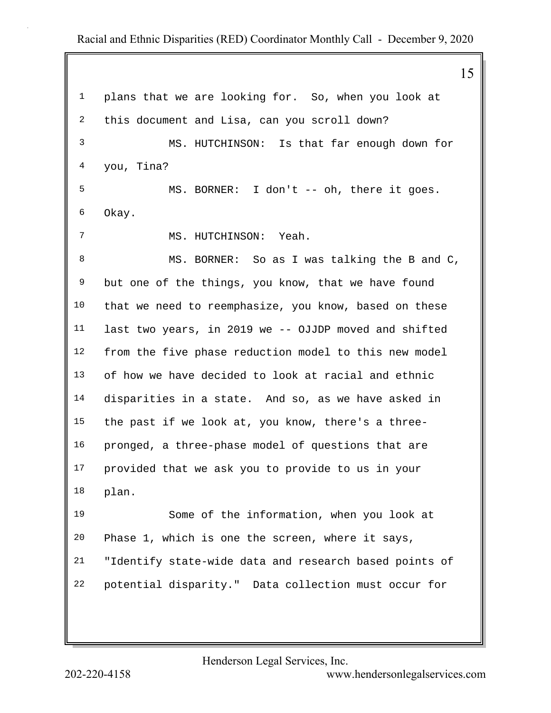15 1 plans that we are looking for. So, when you look at 2 this document and Lisa, can you scroll down? 3 MS. HUTCHINSON: Is that far enough down for 4 you, Tina? 5 MS. BORNER: I don't -- oh, there it goes. 6 Okay. 7 MS. HUTCHINSON: Yeah. 8 MS. BORNER: So as I was talking the B and C, 9 but one of the things, you know, that we have found 10 that we need to reemphasize, you know, based on these 11 last two years, in 2019 we -- OJJDP moved and shifted 12 from the five phase reduction model to this new model 13 of how we have decided to look at racial and ethnic 14 disparities in a state. And so, as we have asked in 15 the past if we look at, you know, there's a three-16 pronged, a three-phase model of questions that are 17 provided that we ask you to provide to us in your 18 plan. 19 Some of the information, when you look at 20 Phase 1, which is one the screen, where it says, 21 "Identify state-wide data and research based points of 22 potential disparity." Data collection must occur for

Henderson Legal Services, Inc.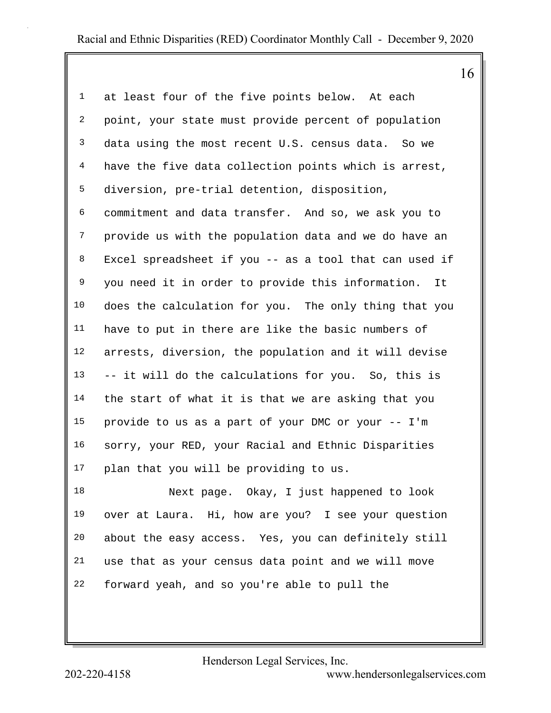| $\mathbf{1}$   | at least four of the five points below. At each        |
|----------------|--------------------------------------------------------|
| $\overline{a}$ | point, your state must provide percent of population   |
| $\mathbf{3}$   | data using the most recent U.S. census data. So we     |
| $\overline{4}$ | have the five data collection points which is arrest,  |
| 5              | diversion, pre-trial detention, disposition,           |
| 6              | commitment and data transfer. And so, we ask you to    |
| 7              | provide us with the population data and we do have an  |
| 8              | Excel spreadsheet if you -- as a tool that can used if |
| 9              | you need it in order to provide this information. It   |
| 10             | does the calculation for you. The only thing that you  |
| 11             | have to put in there are like the basic numbers of     |
| 12             | arrests, diversion, the population and it will devise  |
| 13             | -- it will do the calculations for you. So, this is    |
| 14             | the start of what it is that we are asking that you    |
| 15             | provide to us as a part of your DMC or your -- I'm     |
| 16             | sorry, your RED, your Racial and Ethnic Disparities    |
| 17             | plan that you will be providing to us.                 |
| 18             | Next page. Okay, I just happened to look               |
| 19             | over at Laura. Hi, how are you? I see your question    |
| 20             | about the easy access. Yes, you can definitely still   |
| 21             | use that as your census data point and we will move    |

22 forward yeah, and so you're able to pull the

Henderson Legal Services, Inc.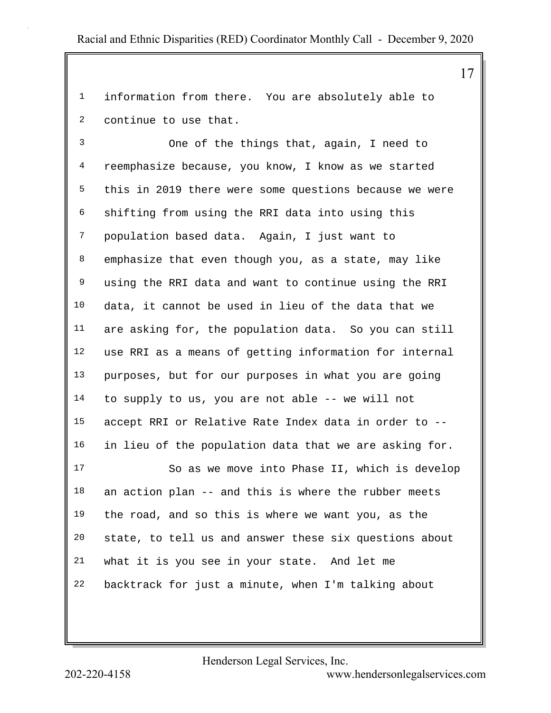1 information from there. You are absolutely able to 2 continue to use that.

3 One of the things that, again, I need to 4 reemphasize because, you know, I know as we started 5 this in 2019 there were some questions because we were 6 shifting from using the RRI data into using this 7 population based data. Again, I just want to 8 emphasize that even though you, as a state, may like 9 using the RRI data and want to continue using the RRI 10 data, it cannot be used in lieu of the data that we 11 are asking for, the population data. So you can still 12 use RRI as a means of getting information for internal 13 purposes, but for our purposes in what you are going 14 to supply to us, you are not able -- we will not 15 accept RRI or Relative Rate Index data in order to -- 16 in lieu of the population data that we are asking for.

17 So as we move into Phase II, which is develop 18 an action plan -- and this is where the rubber meets 19 the road, and so this is where we want you, as the 20 state, to tell us and answer these six questions about 21 what it is you see in your state. And let me 22 backtrack for just a minute, when I'm talking about

Henderson Legal Services, Inc.

202-220-4158 <www.hendersonlegalservices.com>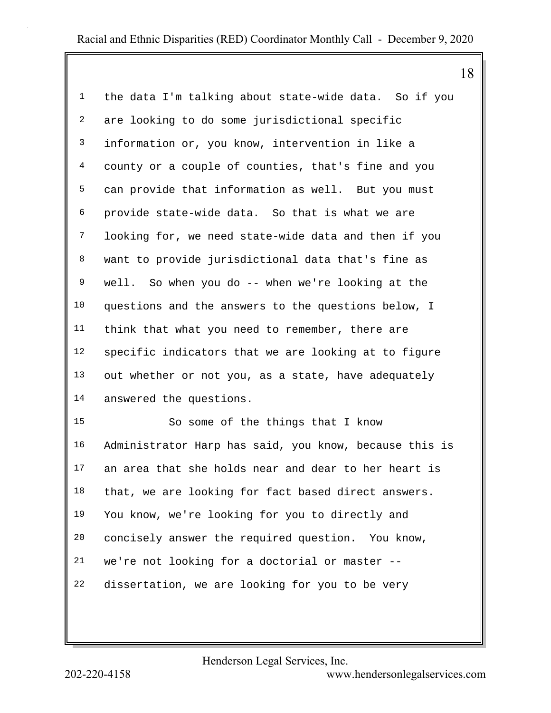|  | 18 |  |
|--|----|--|
|  |    |  |

| $\mathbf{1}$            | the data I'm talking about state-wide data. So if you  |
|-------------------------|--------------------------------------------------------|
| $\overline{\mathbf{c}}$ | are looking to do some jurisdictional specific         |
| $\mathbf{3}$            | information or, you know, intervention in like a       |
| $\overline{4}$          | county or a couple of counties, that's fine and you    |
| 5                       | can provide that information as well. But you must     |
| 6                       | provide state-wide data. So that is what we are        |
| 7                       | looking for, we need state-wide data and then if you   |
| 8                       | want to provide jurisdictional data that's fine as     |
| 9                       | well. So when you do -- when we're looking at the      |
| 10                      | questions and the answers to the questions below, I    |
| 11                      | think that what you need to remember, there are        |
| 12                      | specific indicators that we are looking at to figure   |
| 13                      | out whether or not you, as a state, have adequately    |
| 14                      | answered the questions.                                |
| 15                      | So some of the things that I know                      |
| 16                      | Administrator Harp has said, you know, because this is |
| 17                      | an area that she holds near and dear to her heart is   |
| 18                      | that, we are looking for fact based direct answers.    |
| 19                      | You know, we're looking for you to directly and        |
| 20                      | concisely answer the required question. You know,      |
| 21                      | we're not looking for a doctorial or master --         |

22 dissertation, we are looking for you to be very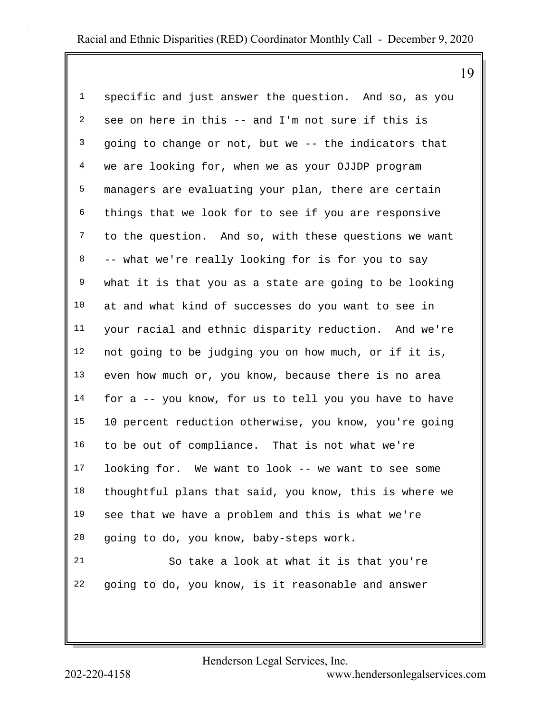19

| 1              | specific and just answer the question. And so, as you  |
|----------------|--------------------------------------------------------|
| $\overline{a}$ | see on here in this -- and I'm not sure if this is     |
| $\mathfrak{Z}$ | going to change or not, but we -- the indicators that  |
| $\overline{4}$ | we are looking for, when we as your OJJDP program      |
| 5              | managers are evaluating your plan, there are certain   |
| 6              | things that we look for to see if you are responsive   |
| $7\phantom{.}$ | to the question. And so, with these questions we want  |
| 8              | -- what we're really looking for is for you to say     |
| 9              | what it is that you as a state are going to be looking |
| 10             | at and what kind of successes do you want to see in    |
| 11             | your racial and ethnic disparity reduction. And we're  |
| 12             | not going to be judging you on how much, or if it is,  |
| 13             | even how much or, you know, because there is no area   |
| 14             | for a -- you know, for us to tell you you have to have |
| 15             | 10 percent reduction otherwise, you know, you're going |
| 16             | to be out of compliance. That is not what we're        |
| 17             | looking for. We want to look -- we want to see some    |
| 18             | thoughtful plans that said, you know, this is where we |
| 19             | see that we have a problem and this is what we're      |
| 20             | going to do, you know, baby-steps work.                |
| 21             | So take a look at what it is that you're               |
| 22             | going to do, you know, is it reasonable and answer     |

Henderson Legal Services, Inc.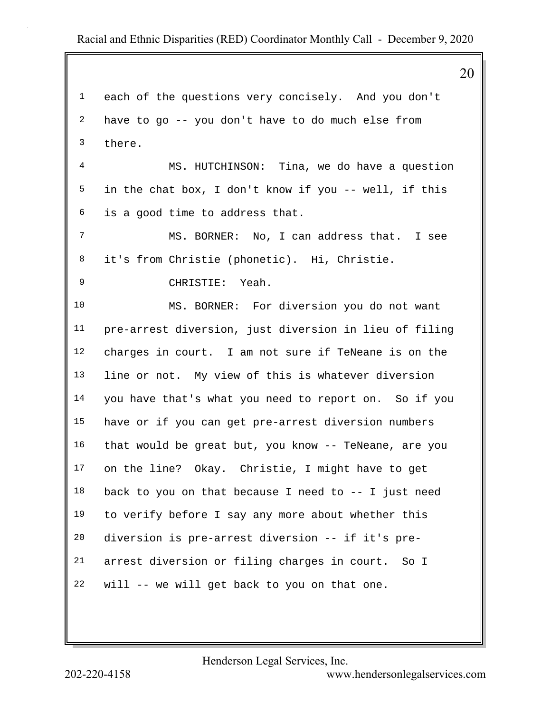20 1 each of the questions very concisely. And you don't 2 have to go -- you don't have to do much else from 3 there. 4 MS. HUTCHINSON: Tina, we do have a question 5 in the chat box, I don't know if you -- well, if this 6 is a good time to address that. 7 MS. BORNER: No, I can address that. I see 8 it's from Christie (phonetic). Hi, Christie. 9 CHRISTIE: Yeah. 10 MS. BORNER: For diversion you do not want 11 pre-arrest diversion, just diversion in lieu of filing 12 charges in court. I am not sure if TeNeane is on the 13 line or not. My view of this is whatever diversion 14 you have that's what you need to report on. So if you 15 have or if you can get pre-arrest diversion numbers 16 that would be great but, you know -- TeNeane, are you 17 on the line? Okay. Christie, I might have to get 18 back to you on that because I need to -- I just need 19 to verify before I say any more about whether this 20 diversion is pre-arrest diversion -- if it's pre-21 arrest diversion or filing charges in court. So I 22 will -- we will get back to you on that one.

Henderson Legal Services, Inc.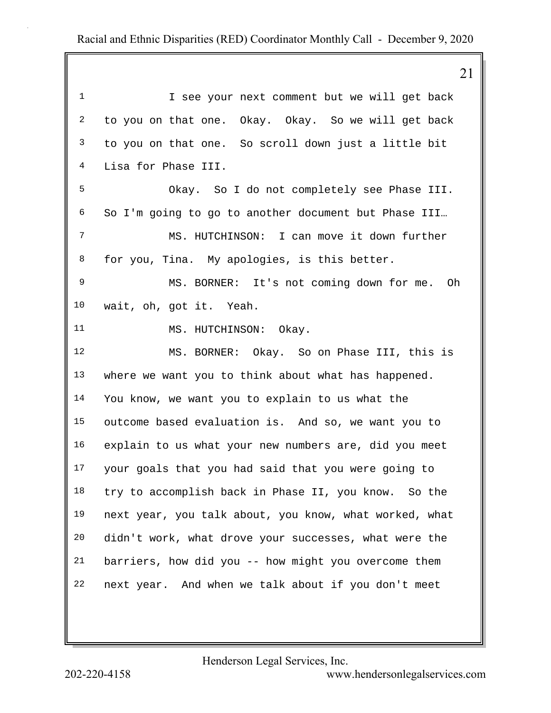|                         | 21                                                     |
|-------------------------|--------------------------------------------------------|
| $\mathbf 1$             | I see your next comment but we will get back           |
| $\overline{\mathbf{c}}$ | to you on that one. Okay. Okay. So we will get back    |
| $\mathfrak{Z}$          | to you on that one. So scroll down just a little bit   |
| 4                       | Lisa for Phase III.                                    |
| 5                       | Okay. So I do not completely see Phase III.            |
| 6                       | So I'm going to go to another document but Phase III   |
| 7                       | MS. HUTCHINSON: I can move it down further             |
| 8                       | for you, Tina. My apologies, is this better.           |
| 9                       | MS. BORNER: It's not coming down for me. Oh            |
| 10                      | wait, oh, got it. Yeah.                                |
| 11                      | MS. HUTCHINSON: Okay.                                  |
| 12                      | MS. BORNER: Okay. So on Phase III, this is             |
| 13                      | where we want you to think about what has happened.    |
| 14                      | You know, we want you to explain to us what the        |
| 15                      | outcome based evaluation is. And so, we want you to    |
| 16                      | explain to us what your new numbers are, did you meet  |
| 17                      | your goals that you had said that you were going to    |
| 18                      | try to accomplish back in Phase II, you know. So the   |
| 19                      | next year, you talk about, you know, what worked, what |
| 20                      | didn't work, what drove your successes, what were the  |
| 21                      | barriers, how did you -- how might you overcome them   |
| 22                      | next year. And when we talk about if you don't meet    |

Henderson Legal Services, Inc.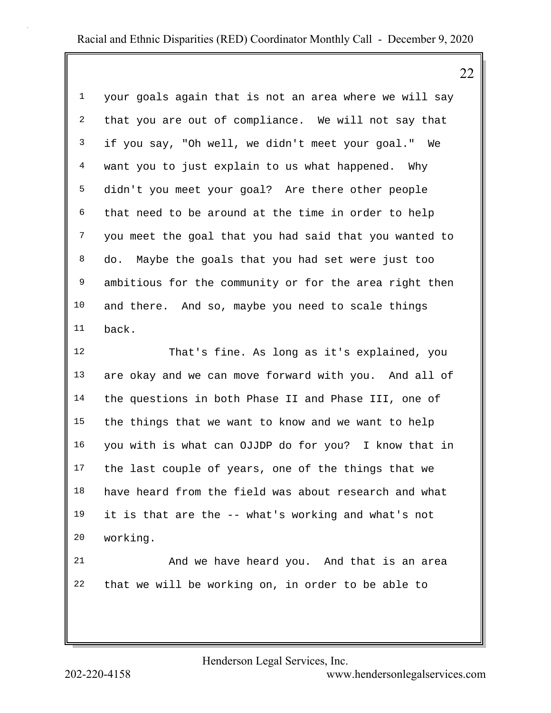22

| $\mathbf 1$    | your goals again that is not an area where we will say |
|----------------|--------------------------------------------------------|
| $\overline{a}$ | that you are out of compliance. We will not say that   |
| 3              | if you say, "Oh well, we didn't meet your goal." We    |
| 4              | want you to just explain to us what happened. Why      |
| 5              | didn't you meet your goal? Are there other people      |
| 6              | that need to be around at the time in order to help    |
| 7              | you meet the goal that you had said that you wanted to |
| 8              | do. Maybe the goals that you had set were just too     |
| 9              | ambitious for the community or for the area right then |
| 10             | and there. And so, maybe you need to scale things      |
| 11             | back.                                                  |
| 12             | That's fine. As long as it's explained, you            |
| 13             | are okay and we can move forward with you. And all of  |

14 the questions in both Phase II and Phase III, one of 15 the things that we want to know and we want to help 16 you with is what can OJJDP do for you? I know that in 17 the last couple of years, one of the things that we 18 have heard from the field was about research and what 19 it is that are the -- what's working and what's not 20 working.

21 And we have heard you. And that is an area 22 that we will be working on, in order to be able to

Henderson Legal Services, Inc.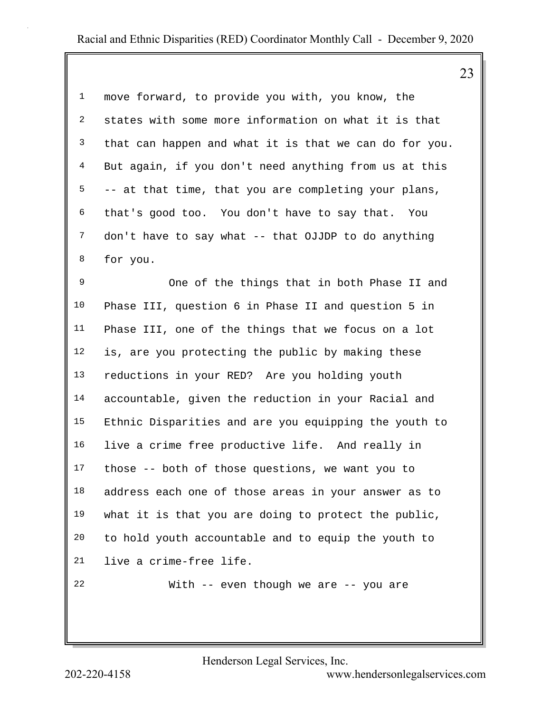1 move forward, to provide you with, you know, the 2 states with some more information on what it is that 3 that can happen and what it is that we can do for you. 4 But again, if you don't need anything from us at this  $5 - -$  at that time, that you are completing your plans, 6 that's good too. You don't have to say that. You 7 don't have to say what -- that OJJDP to do anything 8 for you.

9 One of the things that in both Phase II and 10 Phase III, question 6 in Phase II and question 5 in 11 Phase III, one of the things that we focus on a lot 12 is, are you protecting the public by making these 13 reductions in your RED? Are you holding youth 14 accountable, given the reduction in your Racial and 15 Ethnic Disparities and are you equipping the youth to 16 live a crime free productive life. And really in 17 those -- both of those questions, we want you to 18 address each one of those areas in your answer as to 19 what it is that you are doing to protect the public, 20 to hold youth accountable and to equip the youth to 21 live a crime-free life. 22 With -- even though we are -- you are

Henderson Legal Services, Inc.

202-220-4158 <www.hendersonlegalservices.com>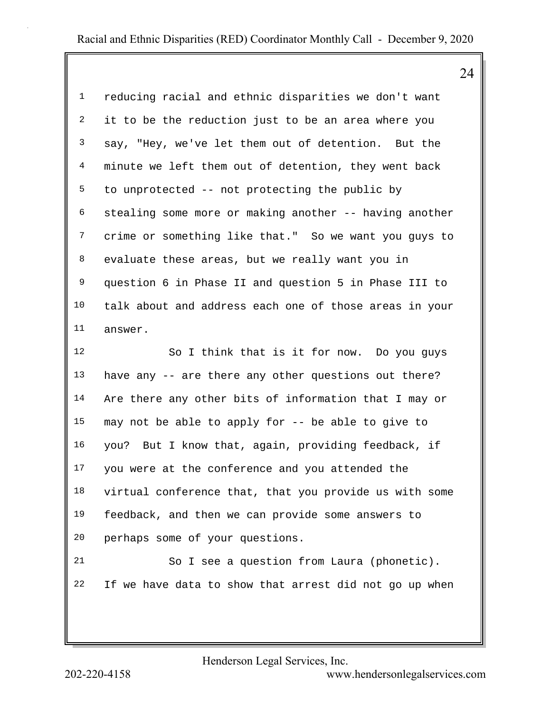24

| $\mathbf{1}$   | reducing racial and ethnic disparities we don't want   |
|----------------|--------------------------------------------------------|
| $\overline{a}$ | it to be the reduction just to be an area where you    |
| 3              | say, "Hey, we've let them out of detention. But the    |
| $\overline{4}$ | minute we left them out of detention, they went back   |
| 5              | to unprotected -- not protecting the public by         |
| 6              | stealing some more or making another -- having another |
| 7              | crime or something like that." So we want you guys to  |
| 8              | evaluate these areas, but we really want you in        |
| 9              | question 6 in Phase II and question 5 in Phase III to  |
| 10             | talk about and address each one of those areas in your |
| 11             | answer.                                                |
| 12             | So I think that is it for now. Do you guys             |
| 13             | have any -- are there any other questions out there?   |
| 14             | Are there any other bits of information that I may or  |
| 15             | may not be able to apply for -- be able to give to     |
| 16             | you? But I know that, again, providing feedback, if    |
| 17             | you were at the conference and you attended the        |
| 18             | virtual conference that, that you provide us with some |
| 19             | feedback, and then we can provide some answers to      |
| 20             | perhaps some of your questions.                        |
| 21             | So I see a question from Laura (phonetic).             |
| 22             | If we have data to show that arrest did not go up when |

Henderson Legal Services, Inc.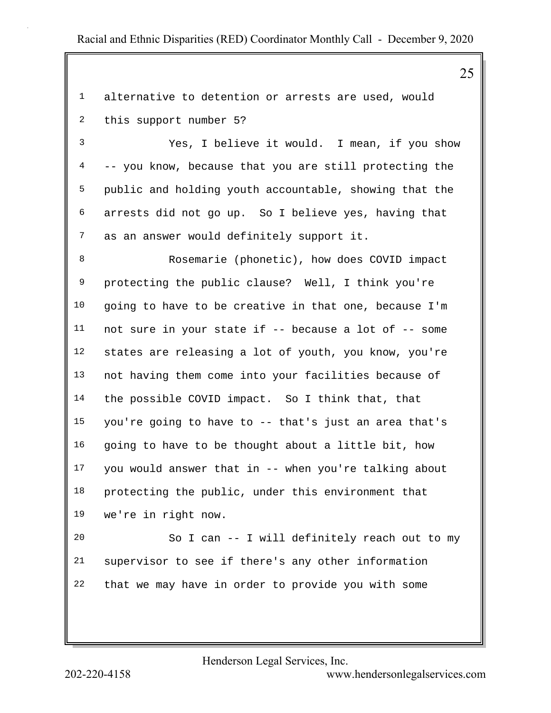1 alternative to detention or arrests are used, would 2 this support number 5?

3 Yes, I believe it would. I mean, if you show 4 -- you know, because that you are still protecting the 5 public and holding youth accountable, showing that the 6 arrests did not go up. So I believe yes, having that 7 as an answer would definitely support it.

8 Rosemarie (phonetic), how does COVID impact 9 protecting the public clause? Well, I think you're 10 going to have to be creative in that one, because I'm 11 not sure in your state if -- because a lot of -- some 12 states are releasing a lot of youth, you know, you're 13 not having them come into your facilities because of 14 the possible COVID impact. So I think that, that 15 you're going to have to -- that's just an area that's 16 going to have to be thought about a little bit, how 17 you would answer that in -- when you're talking about 18 protecting the public, under this environment that 19 we're in right now.

20 So I can -- I will definitely reach out to my 21 supervisor to see if there's any other information 22 that we may have in order to provide you with some

Henderson Legal Services, Inc.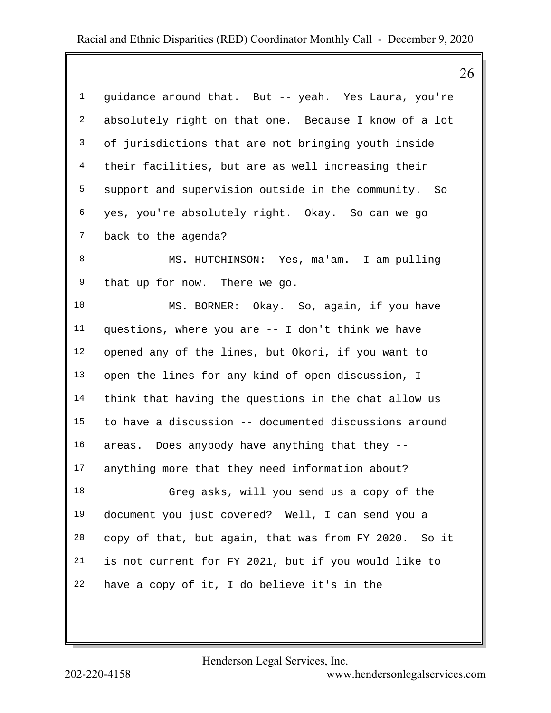|                | 26                                                    |  |
|----------------|-------------------------------------------------------|--|
| $\mathbf{1}$   | guidance around that. But -- yeah. Yes Laura, you're  |  |
| 2              | absolutely right on that one. Because I know of a lot |  |
| 3              | of jurisdictions that are not bringing youth inside   |  |
| 4              | their facilities, but are as well increasing their    |  |
| 5              | support and supervision outside in the community. So  |  |
| 6              | yes, you're absolutely right. Okay. So can we go      |  |
| $7\phantom{.}$ | back to the agenda?                                   |  |
| 8              | MS. HUTCHINSON: Yes, ma'am. I am pulling              |  |
| 9              | that up for now. There we go.                         |  |
| 10             | MS. BORNER: Okay. So, again, if you have              |  |
| 11             | questions, where you are -- I don't think we have     |  |
| 12             | opened any of the lines, but Okori, if you want to    |  |
| 13             | open the lines for any kind of open discussion, I     |  |
| 14             | think that having the questions in the chat allow us  |  |
| 15             | to have a discussion -- documented discussions around |  |
| 16             | areas. Does anybody have anything that they --        |  |
| 17             | anything more that they need information about?       |  |
| 18             | Greg asks, will you send us a copy of the             |  |
| 19             | document you just covered? Well, I can send you a     |  |
| 20             | copy of that, but again, that was from FY 2020. So it |  |
| 21             | is not current for FY 2021, but if you would like to  |  |
| 22             | have a copy of it, I do believe it's in the           |  |
|                |                                                       |  |

Henderson Legal Services, Inc.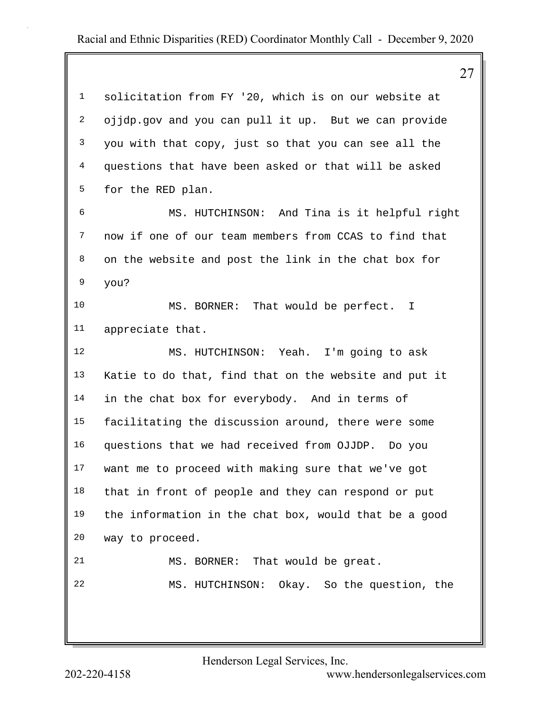27 1 solicitation from FY '20, which is on our website at 2 ojjdp.gov and you can pull it up. But we can provide 3 you with that copy, just so that you can see all the 4 questions that have been asked or that will be asked 5 for the RED plan. 6 MS. HUTCHINSON: And Tina is it helpful right 7 now if one of our team members from CCAS to find that 8 on the website and post the link in the chat box for 9 you? 10 MS. BORNER: That would be perfect. I 11 appreciate that. 12 MS. HUTCHINSON: Yeah. I'm going to ask 13 Katie to do that, find that on the website and put it 14 in the chat box for everybody. And in terms of 15 facilitating the discussion around, there were some 16 questions that we had received from OJJDP. Do you 17 want me to proceed with making sure that we've got 18 that in front of people and they can respond or put 19 the information in the chat box, would that be a good 20 way to proceed. 21 MS. BORNER: That would be great. 22 MS. HUTCHINSON: Okay. So the question, the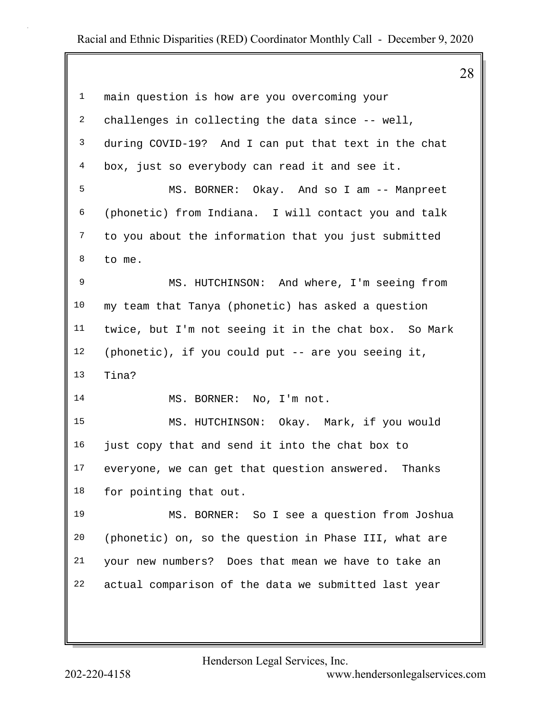|                |                                                       | 28 |
|----------------|-------------------------------------------------------|----|
| $\mathbf 1$    | main question is how are you overcoming your          |    |
| 2              | challenges in collecting the data since -- well,      |    |
| 3              | during COVID-19? And I can put that text in the chat  |    |
| $\overline{4}$ | box, just so everybody can read it and see it.        |    |
| 5              | MS. BORNER: Okay. And so I am -- Manpreet             |    |
| 6              | (phonetic) from Indiana. I will contact you and talk  |    |
| 7              | to you about the information that you just submitted  |    |
| 8              | to me.                                                |    |
| 9              | MS. HUTCHINSON: And where, I'm seeing from            |    |
| $10\,$         | my team that Tanya (phonetic) has asked a question    |    |
| 11             | twice, but I'm not seeing it in the chat box. So Mark |    |
| 12             | (phonetic), if you could put -- are you seeing it,    |    |
| 13             | Tina?                                                 |    |
| 14             | MS. BORNER: No, I'm not.                              |    |
| 15             | MS. HUTCHINSON: Okay. Mark, if you would              |    |
| 16             | just copy that and send it into the chat box to       |    |
| 17             | everyone, we can get that question answered. Thanks   |    |
| 18             | for pointing that out.                                |    |
| 19             | MS. BORNER: So I see a question from Joshua           |    |
| 20             | (phonetic) on, so the question in Phase III, what are |    |
| 21             | your new numbers? Does that mean we have to take an   |    |
| 22             | actual comparison of the data we submitted last year  |    |
|                |                                                       |    |
|                |                                                       |    |

Henderson Legal Services, Inc.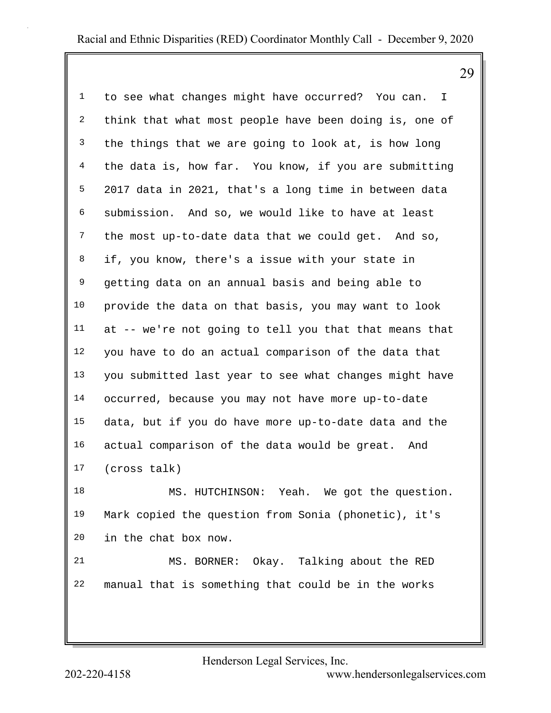1 to see what changes might have occurred? You can. I 2 think that what most people have been doing is, one of 3 the things that we are going to look at, is how long 4 the data is, how far. You know, if you are submitting 5 2017 data in 2021, that's a long time in between data 6 submission. And so, we would like to have at least 7 the most up-to-date data that we could get. And so, 8 if, you know, there's a issue with your state in 9 getting data on an annual basis and being able to 10 provide the data on that basis, you may want to look 11 at -- we're not going to tell you that that means that 12 you have to do an actual comparison of the data that 13 you submitted last year to see what changes might have 14 occurred, because you may not have more up-to-date 15 data, but if you do have more up-to-date data and the 16 actual comparison of the data would be great. And 17 (cross talk)

18 MS. HUTCHINSON: Yeah. We got the question. 19 Mark copied the question from Sonia (phonetic), it's 20 in the chat box now.

21 MS. BORNER: Okay. Talking about the RED 22 manual that is something that could be in the works

Henderson Legal Services, Inc.

202-220-4158 <www.hendersonlegalservices.com>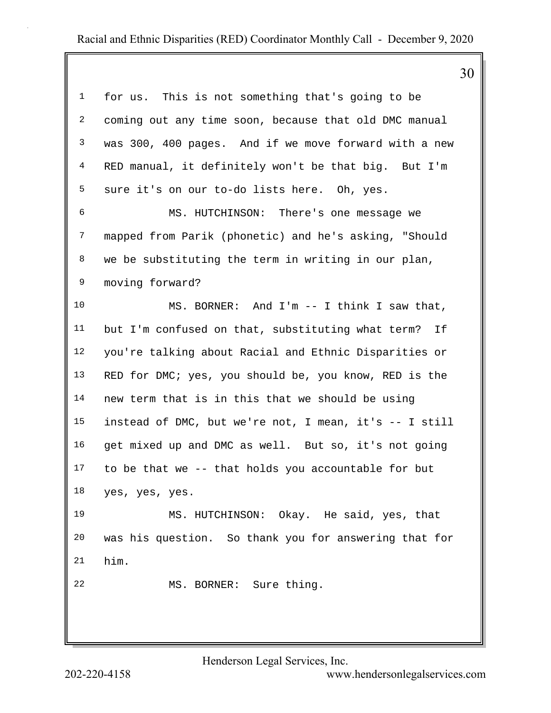30

| $\mathbf{1}$   | for us. This is not something that's going to be       |
|----------------|--------------------------------------------------------|
| $\overline{a}$ | coming out any time soon, because that old DMC manual  |
| 3              | was 300, 400 pages. And if we move forward with a new  |
| 4              | RED manual, it definitely won't be that big. But I'm   |
| 5              | sure it's on our to-do lists here. Oh, yes.            |
| 6              | MS. HUTCHINSON: There's one message we                 |
| $7\phantom{.}$ | mapped from Parik (phonetic) and he's asking, "Should  |
| 8              | we be substituting the term in writing in our plan,    |
| 9              | moving forward?                                        |
| 10             | MS. BORNER: And I'm -- I think I saw that,             |
| 11             | but I'm confused on that, substituting what term? If   |
| 12             | you're talking about Racial and Ethnic Disparities or  |
| 13             | RED for DMC; yes, you should be, you know, RED is the  |
| 14             | new term that is in this that we should be using       |
| 15             | instead of DMC, but we're not, I mean, it's -- I still |
| 16             | get mixed up and DMC as well. But so, it's not going   |
| 17             | to be that we -- that holds you accountable for but    |
| 18             | yes, yes, yes.                                         |
| 19             | MS. HUTCHINSON: Okay. He said, yes, that               |
| 20             | was his question. So thank you for answering that for  |
| 21             | him.                                                   |
| 22             | MS. BORNER: Sure thing.                                |
|                |                                                        |
|                |                                                        |

Henderson Legal Services, Inc.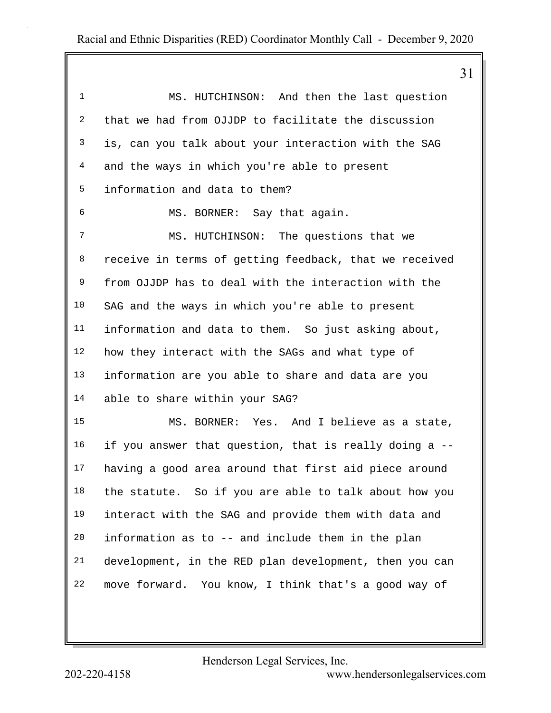| $\mathbf 1$    | MS. HUTCHINSON: And then the last question             |
|----------------|--------------------------------------------------------|
| $\overline{a}$ | that we had from OJJDP to facilitate the discussion    |
| 3              | is, can you talk about your interaction with the SAG   |
| 4              | and the ways in which you're able to present           |
| 5              | information and data to them?                          |
| 6              | MS. BORNER: Say that again.                            |
| 7              | MS. HUTCHINSON: The questions that we                  |
| 8              | receive in terms of getting feedback, that we received |
| 9              | from OJJDP has to deal with the interaction with the   |
| 10             | SAG and the ways in which you're able to present       |
| 11             | information and data to them. So just asking about,    |
| 12             | how they interact with the SAGs and what type of       |
| 13             | information are you able to share and data are you     |
| 14             | able to share within your SAG?                         |
| 15             | MS. BORNER: Yes. And I believe as a state,             |
| 16             | if you answer that question, that is really doing a -- |
| 17             | having a good area around that first aid piece around  |
| 18             | the statute. So if you are able to talk about how you  |
| 19             | interact with the SAG and provide them with data and   |
| 20             | information as to -- and include them in the plan      |
| 21             | development, in the RED plan development, then you can |
| 22             | move forward. You know, I think that's a good way of   |
|                |                                                        |

Henderson Legal Services, Inc.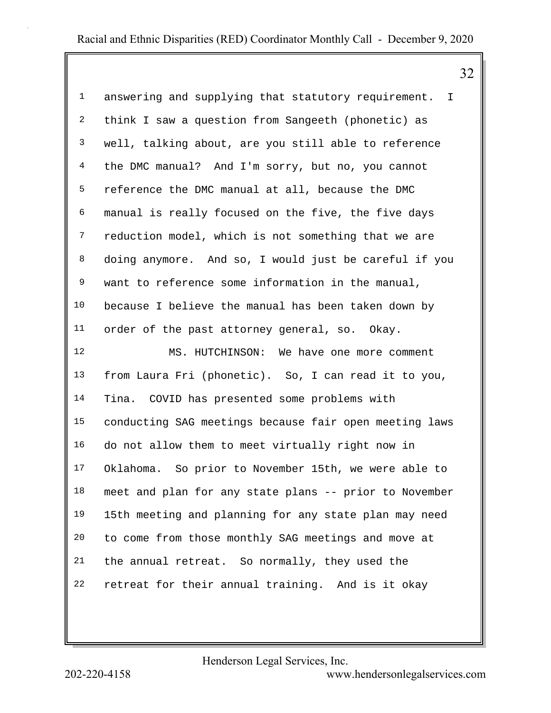1 answering and supplying that statutory requirement. I 2 think I saw a question from Sangeeth (phonetic) as 3 well, talking about, are you still able to reference 4 the DMC manual? And I'm sorry, but no, you cannot 5 reference the DMC manual at all, because the DMC 6 manual is really focused on the five, the five days 7 reduction model, which is not something that we are 8 doing anymore. And so, I would just be careful if you 9 want to reference some information in the manual, 10 because I believe the manual has been taken down by 11 order of the past attorney general, so. Okay. 12 MS. HUTCHINSON: We have one more comment 13 from Laura Fri (phonetic). So, I can read it to you, 14 Tina. COVID has presented some problems with 15 conducting SAG meetings because fair open meeting laws 16 do not allow them to meet virtually right now in 17 Oklahoma. So prior to November 15th, we were able to 18 meet and plan for any state plans -- prior to November 19 15th meeting and planning for any state plan may need 20 to come from those monthly SAG meetings and move at 21 the annual retreat. So normally, they used the

22 retreat for their annual training. And is it okay

Henderson Legal Services, Inc.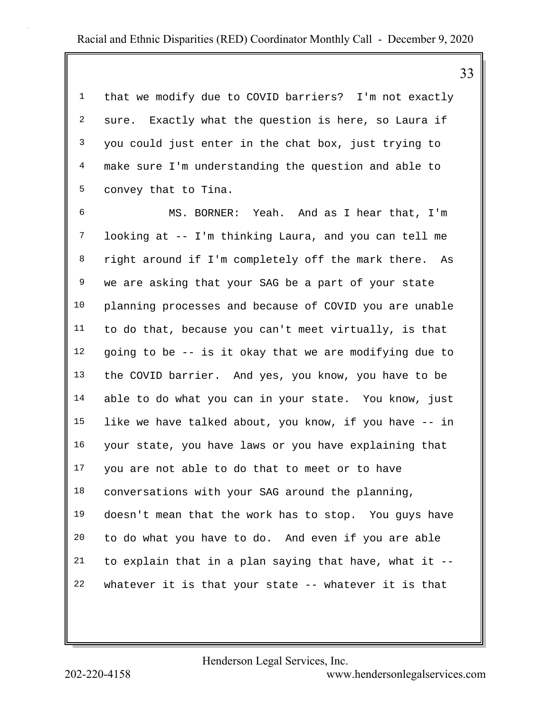1 that we modify due to COVID barriers? I'm not exactly 2 sure. Exactly what the question is here, so Laura if 3 you could just enter in the chat box, just trying to 4 make sure I'm understanding the question and able to 5 convey that to Tina.

6 MS. BORNER: Yeah. And as I hear that, I'm 7 looking at -- I'm thinking Laura, and you can tell me 8 right around if I'm completely off the mark there. As 9 we are asking that your SAG be a part of your state 10 planning processes and because of COVID you are unable 11 to do that, because you can't meet virtually, is that 12 going to be -- is it okay that we are modifying due to 13 the COVID barrier. And yes, you know, you have to be 14 able to do what you can in your state. You know, just 15 like we have talked about, you know, if you have -- in 16 your state, you have laws or you have explaining that 17 you are not able to do that to meet or to have 18 conversations with your SAG around the planning, 19 doesn't mean that the work has to stop. You guys have 20 to do what you have to do. And even if you are able  $21$  to explain that in a plan saying that have, what it  $-$ 22 whatever it is that your state -- whatever it is that

Henderson Legal Services, Inc.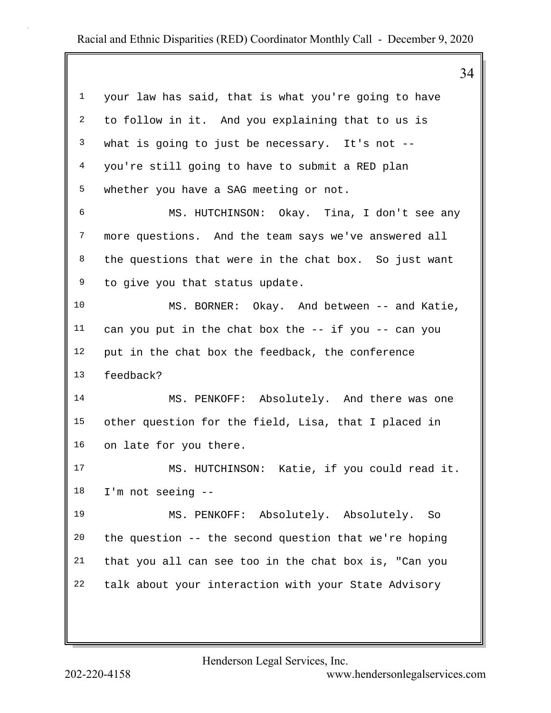34 1 your law has said, that is what you're going to have 2 to follow in it. And you explaining that to us is 3 what is going to just be necessary. It's not -- 4 you're still going to have to submit a RED plan 5 whether you have a SAG meeting or not. 6 MS. HUTCHINSON: Okay. Tina, I don't see any 7 more questions. And the team says we've answered all 8 the questions that were in the chat box. So just want 9 to give you that status update. 10 MS. BORNER: Okay. And between -- and Katie, 11 can you put in the chat box the -- if you -- can you 12 put in the chat box the feedback, the conference 13 feedback? 14 MS. PENKOFF: Absolutely. And there was one 15 other question for the field, Lisa, that I placed in 16 on late for you there. 17 MS. HUTCHINSON: Katie, if you could read it. 18 I'm not seeing -- 19 MS. PENKOFF: Absolutely. Absolutely. So 20 the question -- the second question that we're hoping 21 that you all can see too in the chat box is, "Can you 22 talk about your interaction with your State Advisory

Henderson Legal Services, Inc.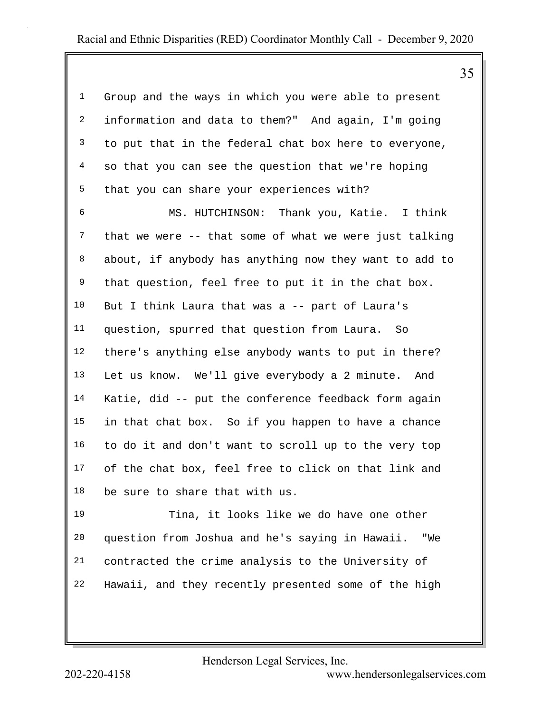35

1 Group and the ways in which you were able to present 2 information and data to them?" And again, I'm going 3 to put that in the federal chat box here to everyone, 4 so that you can see the question that we're hoping 5 that you can share your experiences with?

6 MS. HUTCHINSON: Thank you, Katie. I think 7 that we were -- that some of what we were just talking 8 about, if anybody has anything now they want to add to 9 that question, feel free to put it in the chat box. 10 But I think Laura that was a -- part of Laura's 11 question, spurred that question from Laura. So 12 there's anything else anybody wants to put in there? 13 Let us know. We'll give everybody a 2 minute. And 14 Katie, did -- put the conference feedback form again 15 in that chat box. So if you happen to have a chance 16 to do it and don't want to scroll up to the very top 17 of the chat box, feel free to click on that link and 18 be sure to share that with us.

19 Tina, it looks like we do have one other 20 question from Joshua and he's saying in Hawaii. "We 21 contracted the crime analysis to the University of 22 Hawaii, and they recently presented some of the high

Henderson Legal Services, Inc.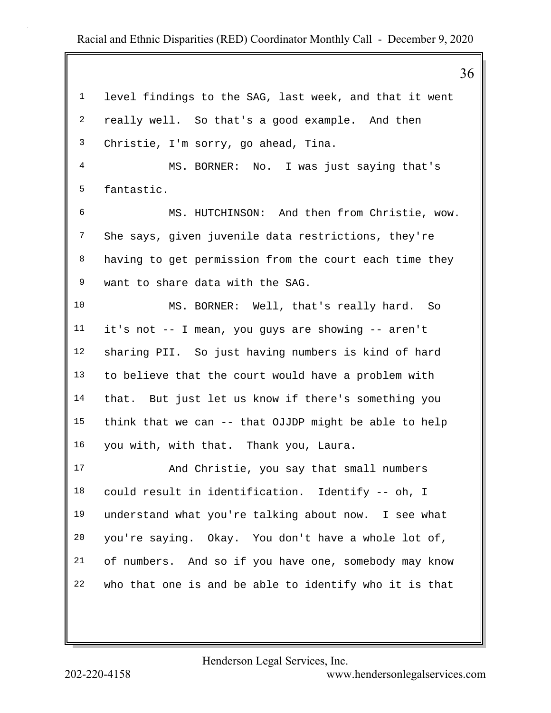|             | 36                                                     |
|-------------|--------------------------------------------------------|
| $\mathbf 1$ | level findings to the SAG, last week, and that it went |
| 2           | really well. So that's a good example. And then        |
| 3           | Christie, I'm sorry, go ahead, Tina.                   |
| 4           | MS. BORNER: No. I was just saying that's               |
| 5           | fantastic.                                             |
| 6           | MS. HUTCHINSON: And then from Christie, wow.           |
| 7           | She says, given juvenile data restrictions, they're    |
| 8           | having to get permission from the court each time they |
| 9           | want to share data with the SAG.                       |
| 10          | MS. BORNER: Well, that's really hard. So               |
| 11          | it's not -- I mean, you guys are showing -- aren't     |
| 12          | sharing PII. So just having numbers is kind of hard    |
| 13          | to believe that the court would have a problem with    |
| 14          | that. But just let us know if there's something you    |
| 15          | think that we can -- that OJJDP might be able to help  |
| 16          | you with, with that. Thank you, Laura.                 |
| 17          | And Christie, you say that small numbers               |
| 18          | could result in identification. Identify -- oh, I      |
| 19          | understand what you're talking about now. I see what   |
| 20          | you're saying. Okay. You don't have a whole lot of,    |
| 21          | of numbers. And so if you have one, somebody may know  |
| 22          | who that one is and be able to identify who it is that |
|             |                                                        |

Henderson Legal Services, Inc.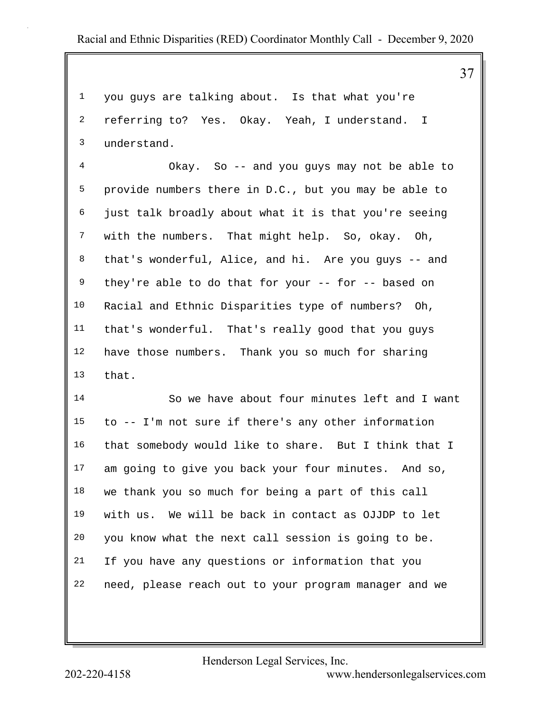37

1 you guys are talking about. Is that what you're 2 referring to? Yes. Okay. Yeah, I understand. I 3 understand.

4 Okay. So -- and you guys may not be able to 5 provide numbers there in D.C., but you may be able to 6 just talk broadly about what it is that you're seeing 7 with the numbers. That might help. So, okay. Oh, 8 that's wonderful, Alice, and hi. Are you guys -- and 9 they're able to do that for your -- for -- based on 10 Racial and Ethnic Disparities type of numbers? Oh, 11 that's wonderful. That's really good that you guys 12 have those numbers. Thank you so much for sharing 13 that.

14 So we have about four minutes left and I want 15 to -- I'm not sure if there's any other information 16 that somebody would like to share. But I think that I 17 am going to give you back your four minutes. And so, 18 we thank you so much for being a part of this call 19 with us. We will be back in contact as OJJDP to let 20 you know what the next call session is going to be. 21 If you have any questions or information that you 22 need, please reach out to your program manager and we

Henderson Legal Services, Inc.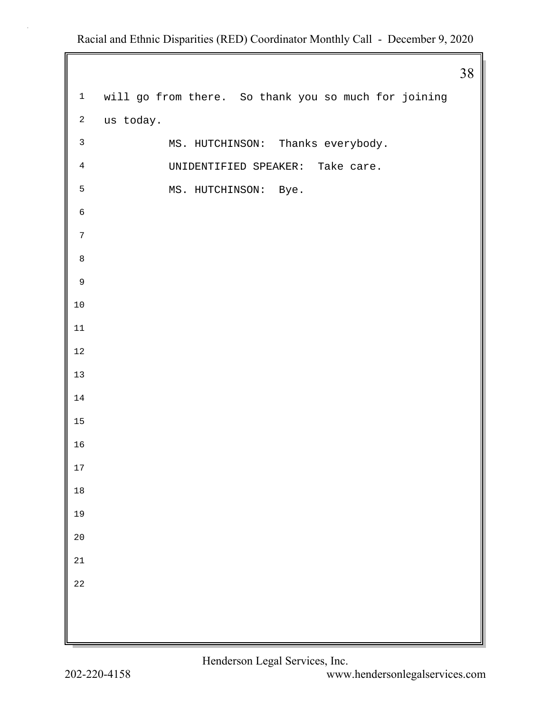1 will go from there. So thank you so much for joining 2 us today. 3 MS. HUTCHINSON: Thanks everybody. 4 UNIDENTIFIED SPEAKER: Take care. 5 MS. HUTCHINSON: Bye.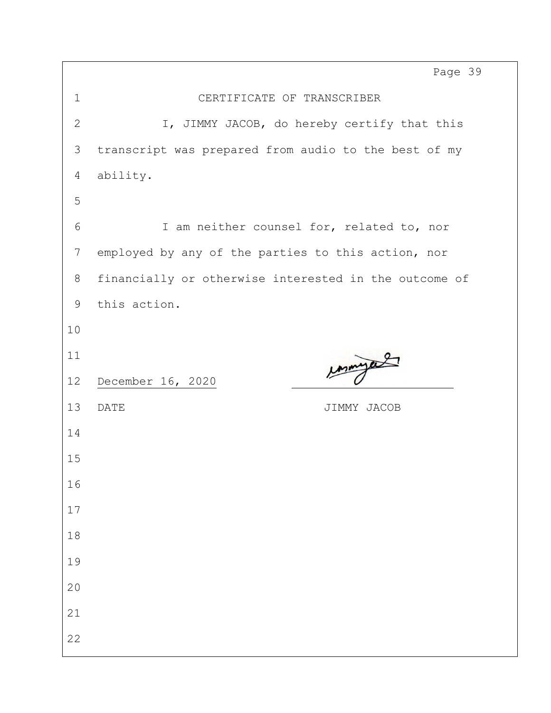Page 39

| $\mathbf 1$  | CERTIFICATE OF TRANSCRIBER                            |  |  |  |  |
|--------------|-------------------------------------------------------|--|--|--|--|
| $\mathbf{2}$ | I, JIMMY JACOB, do hereby certify that this           |  |  |  |  |
| 3            | transcript was prepared from audio to the best of my  |  |  |  |  |
| 4            | ability.                                              |  |  |  |  |
| 5            |                                                       |  |  |  |  |
| 6            | I am neither counsel for, related to, nor             |  |  |  |  |
| 7            | employed by any of the parties to this action, nor    |  |  |  |  |
| 8            | financially or otherwise interested in the outcome of |  |  |  |  |
| 9            | this action.                                          |  |  |  |  |
| 10           |                                                       |  |  |  |  |
| 11           | mye                                                   |  |  |  |  |
| 12           | December 16, 2020                                     |  |  |  |  |
| 13           | <b>DATE</b><br>JIMMY JACOB                            |  |  |  |  |
| 14           |                                                       |  |  |  |  |
| 15           |                                                       |  |  |  |  |
| 16           |                                                       |  |  |  |  |
| 17           |                                                       |  |  |  |  |
| 18           |                                                       |  |  |  |  |
| 19           |                                                       |  |  |  |  |
| 20           |                                                       |  |  |  |  |
|              |                                                       |  |  |  |  |
| 21           |                                                       |  |  |  |  |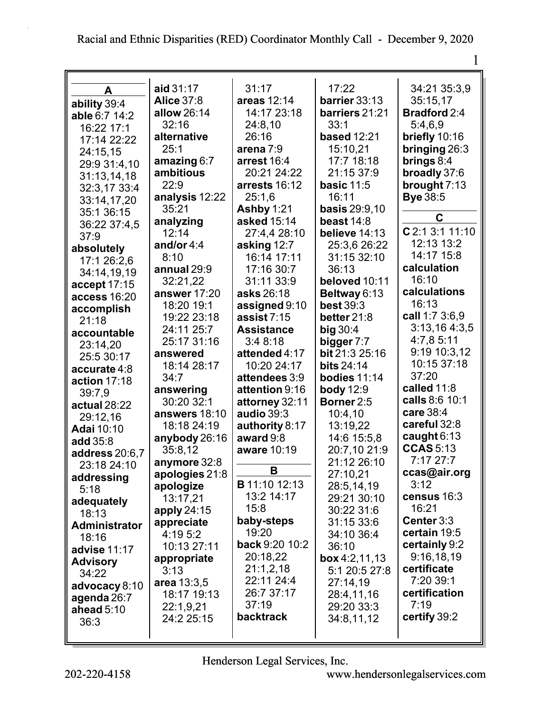| A                    | aid 31:17                | 31:17                        | 17:22                            | 34:21 35:3,9                      |
|----------------------|--------------------------|------------------------------|----------------------------------|-----------------------------------|
| ability 39:4         | <b>Alice 37:8</b>        | areas 12:14                  | barrier 33:13                    | 35:15,17                          |
| able 6:7 14:2        | allow 26:14              | 14:17 23:18                  | barriers 21:21                   | <b>Bradford</b> 2:4               |
| 16:22 17:1           | 32:16                    | 24:8,10                      | 33:1                             | 5:4,6,9                           |
| 17:14 22:22          | alternative              | 26:16                        | <b>based 12:21</b>               | briefly 10:16                     |
|                      | 25:1                     | arena 7:9                    | 15:10,21                         | bringing 26:3                     |
| 24:15,15             | amazing $6:7$            | arrest 16:4                  | 17:7 18:18                       | brings $8:4$                      |
| 29:9 31:4,10         | ambitious                | 20:21 24:22                  | 21:15 37:9                       | broadly 37:6                      |
| 31:13,14,18          | 22:9                     | arrests 16:12                | basic $11:5$                     | brought $7:13$                    |
| 32:3,17 33:4         | analysis 12:22           | 25:1,6                       | 16:11                            | <b>Bye 38:5</b>                   |
| 33:14,17,20          | 35:21                    | Ashby 1:21                   | <b>basis</b> 29:9,10             |                                   |
| 35:1 36:15           | analyzing                | asked 15:14                  | beast $14:8$                     | C                                 |
| 36:22 37:4,5         | 12:14                    | 27:4,4 28:10                 | believe 14:13                    | $C$ 2:1 3:1 11:10                 |
| 37:9                 | and/or $4:4$             | asking 12:7                  | 25:3,6 26:22                     | 12:13 13:2                        |
| absolutely           | 8:10                     | 16:14 17:11                  | 31:15 32:10                      | 14:17 15:8                        |
| 17:1 26:2,6          | annual 29:9              | 17:16 30:7                   | 36:13                            | calculation                       |
| 34:14,19,19          |                          | 31:11 33:9                   | beloved 10:11                    | 16:10                             |
| accept 17:15         | 32:21,22<br>answer 17:20 | asks 26:18                   |                                  | calculations                      |
| access 16:20         | 18:20 19:1               |                              | Beltway 6:13<br><b>best 39:3</b> | 16:13                             |
| accomplish           | 19:22 23:18              | assigned 9:10<br>assist 7:15 |                                  | call 1:7 3:6,9                    |
| 21:18                | 24:11 25:7               | <b>Assistance</b>            | better $21:8$                    | 3:13,164:3,5                      |
| accountable          |                          |                              | big $30:4$                       | 4:7,8 5:11                        |
| 23:14,20             | 25:17 31:16              | 3:48:18                      | bigger 7:7                       | 9:19 10:3,12                      |
| 25:5 30:17           | answered                 | attended 4:17                | bit 21:3 25:16                   | 10:15 37:18                       |
| accurate 4:8         | 18:14 28:17              | 10:20 24:17                  | <b>bits 24:14</b>                | 37:20                             |
| action 17:18         | 34:7                     | attendees 3:9                | bodies 11:14                     | called 11:8                       |
| 39:7,9               | answering                | attention 9:16               | <b>body</b> 12:9                 | calls 8:6 10:1                    |
| actual 28:22         | 30:20 32:1               | attorney 32:11               | Borner 2:5                       | care 38:4                         |
| 29:12,16             | answers 18:10            | audio 39:3                   | 10:4,10                          | careful 32:8                      |
| <b>Adai 10:10</b>    | 18:18 24:19              | authority 8:17               | 13:19,22                         |                                   |
| add 35:8             | anybody 26:16            | award 9:8                    | 14:6 15:5,8                      | caught $6:13$<br><b>CCAS</b> 5:13 |
| address 20:6,7       | 35:8,12                  | aware 10:19                  | 20:7,10 21:9                     | 7:1727:7                          |
| 23:18 24:10          | anymore 32:8             | В                            | 21:12 26:10                      |                                   |
| addressing           | apologies 21:8           | <b>B</b> 11:10 12:13         | 27:10,21                         | ccas@air.org<br>3:12              |
| 5:18                 | apologize                | 13:2 14:17                   | 28:5,14,19                       |                                   |
| adequately           | 13:17,21                 |                              | 29:21 30:10                      | census 16:3                       |
| 18:13                | apply $24:15$            | 15:8                         | 30:22 31:6                       | 16:21                             |
| <b>Administrator</b> | appreciate               | baby-steps                   | 31:15 33:6                       | Center 3:3                        |
| 18:16                | 4:19 5:2                 | 19:20                        | 34:10 36:4                       | certain 19:5                      |
| advise 11:17         | 10:13 27:11              | back 9:20 10:2               | 36:10                            | certainly 9:2                     |
| <b>Advisory</b>      | appropriate              | 20:18,22                     | box $4:2,11,13$                  | 9:16,18,19                        |
| 34:22                | 3:13                     | 21:1,2,18                    | 5:1 20:5 27:8                    | certificate                       |
| advocacy 8:10        | area 13:3,5              | 22:11 24:4                   | 27:14.19                         | 7:20 39:1                         |
| agenda 26:7          | 18:17 19:13              | 26:7 37:17                   | 28:4,11,16                       | certification                     |
| ahead 5:10           | 22:1,9,21                | 37:19                        | 29:20 33:3                       | 7:19                              |
| 36:3                 | 24:2 25:15               | <b>backtrack</b>             | 34:8,11,12                       | certify 39:2                      |
|                      |                          |                              |                                  |                                   |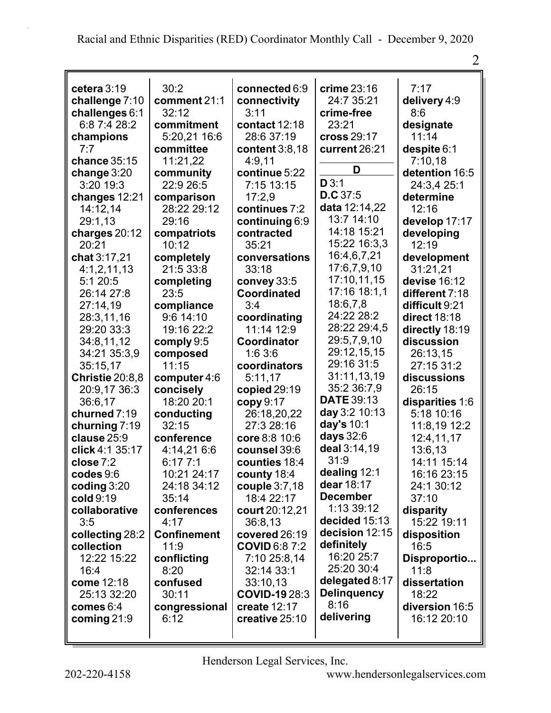| cetera $3:19$          | 30:2               | connected 6:9        | crime 23:16        | 7:17            |
|------------------------|--------------------|----------------------|--------------------|-----------------|
| challenge 7:10         | comment 21:1       | connectivity         | 24:7 35:21         | delivery 4:9    |
| challenges $6:1$       | 32:12              | 3:11                 | crime-free         | 8:6             |
| 6:8 7:4 28:2           | commitment         | contact 12:18        | 23:21              | designate       |
| champions              | 5:20,21 16:6       | 28:6 37:19           | cross 29:17        | 11:14           |
| 7:7                    | committee          | content 3:8,18       | current 26:21      | despite 6:1     |
| chance 35:15           | 11:21,22           | 4:9,11               |                    | 7:10,18         |
| change $3:20$          | community          | continue 5:22        | D                  | detention 16:5  |
| 3:20 19:3              | 22:9 26:5          | 7:15 13:15           | D3:1               | 24:3,4 25:1     |
| changes 12:21          | comparison         | 17:2,9               | D.C.37:5           | determine       |
| 14:12,14               | 28:22 29:12        | continues 7:2        | data 12:14,22      | 12:16           |
| 29:1,13                | 29:16              | continuing 6:9       | 13:7 14:10         | develop 17:17   |
| charges $20:12$        | compatriots        | contracted           | 14:18 15:21        | developing      |
| 20:21                  | 10:12              | 35:21                | 15:22 16:3,3       | 12:19           |
| chat 3:17,21           | completely         | conversations        | 16:4,6,7,21        | development     |
| 4:1,2,11,13            | 21:5 33:8          | 33:18                | 17:6,7,9,10        | 31:21,21        |
| 5:120:5                | completing         | convey 33:5          | 17:10,11,15        | devise 16:12    |
| 26:14 27:8             | 23:5               | <b>Coordinated</b>   | 17:16 18:1,1       | different 7:18  |
| 27:14,19               | compliance         | 3:4                  | 18:6,7,8           | difficult 9:21  |
| 28:3,11,16             | $9:6$ 14:10        | coordinating         | 24:22 28:2         | direct 18:18    |
| 29:20 33:3             | 19:16 22:2         | 11:14 12:9           | 28:22 29:4,5       | directly 18:19  |
| 34:8,11,12             | comply 9:5         | Coordinator          | 29:5,7,9,10        | discussion      |
| 34:21 35:3,9           | composed           | 1:63:6               | 29:12,15,15        | 26:13,15        |
| 35:15,17               | 11:15              | coordinators         | 29:16 31:5         | 27:15 31:2      |
| <b>Christie 20:8,8</b> | computer 4:6       | 5:11,17              | 31:11,13,19        | discussions     |
| 20:9,17 36:3           | concisely          | copied 29:19         | 35:2 36:7,9        | 26:15           |
| 36:6,17                | 18:20 20:1         | copy 9:17            | <b>DATE 39:13</b>  | disparities 1:6 |
| churned 7:19           | conducting         | 26:18,20,22          | day 3:2 10:13      | 5:18 10:16      |
| churning 7:19          | 32:15              | 27:3 28:16           | day's 10:1         | 11:8,19 12:2    |
| clause 25:9            | conference         | core 8:8 10:6        | days 32:6          | 12:4,11,17      |
| click 4:1 35:17        | 4:14,21 6:6        | counsel 39:6         | deal 3:14,19       | 13:6,13         |
| close 7:2              | 6:177:1            | counties 18:4        | 31:9               | 14:11 15:14     |
| codes 9:6              | 10:21 24:17        | county 18:4          | dealing 12:1       | 16:16 23:15     |
| coding $3:20$          | 24:18 34:12        | couple 3:7,18        | dear 18:17         | 24:1 30:12      |
| cold 9:19              | 35:14              | 18:4 22:17           | <b>December</b>    | 37:10           |
| collaborative          | conferences        | court 20:12,21       | 1:13 39:12         | disparity       |
| 3:5                    | 4:17               | 36:8,13              | decided 15:13      | 15:22 19:11     |
| collecting 28:2        | <b>Confinement</b> | covered 26:19        | decision 12:15     | disposition     |
| collection             | 11:9               | <b>COVID 6:8 7:2</b> | definitely         | 16:5            |
| 12:22 15:22            | conflicting        | 7:10 25:8,14         | 16:20 25:7         | Disproportio    |
| 16:4                   | 8:20               | 32:14 33:1           | 25:20 30:4         | 11:8            |
| come 12:18             | confused           | 33:10,13             | delegated $8:17$   | dissertation    |
| 25:13 32:20            | 30:11              | <b>COVID-1928:3</b>  | <b>Delinquency</b> | 18:22           |
| comes 6:4              | congressional      | create 12:17         | 8:16               | diversion 16:5  |
| coming $21:9$          | 6:12               | creative 25:10       | delivering         | 16:12 20:10     |
|                        |                    |                      |                    |                 |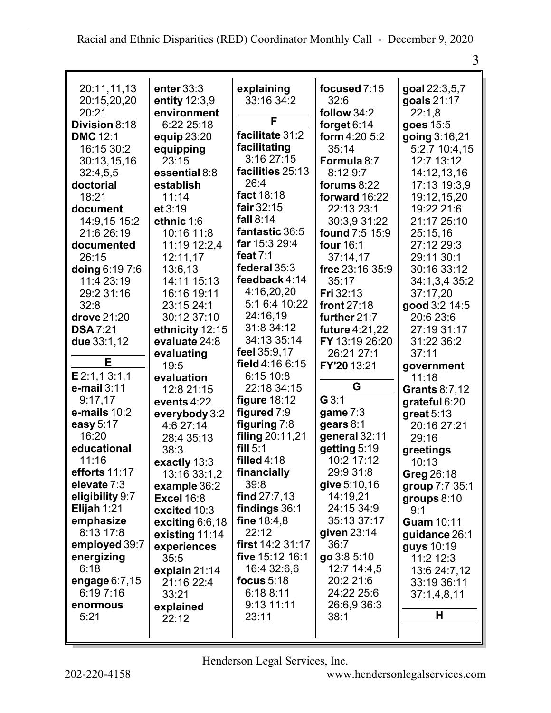| 20:11,11,13      | enter $33:3$       | explaining        | focused 7:15          | goal 22:3,5,7  |
|------------------|--------------------|-------------------|-----------------------|----------------|
| 20:15,20,20      | entity 12:3,9      | 33:16 34:2        | 32:6                  | goals 21:17    |
| 20:21            | environment        |                   | follow 34:2           | 22:1,8         |
| Division 8:18    | 6:22 25:18         | F                 | forget $6:14$         | goes 15:5      |
| <b>DMC 12:1</b>  | equip 23:20        | facilitate 31:2   | form 4:20 5:2         | going 3:16,21  |
| 16:15 30:2       |                    | facilitating      | 35:14                 | 5:2,7 10:4,15  |
|                  | equipping<br>23:15 | 3:16 27:15        |                       | 12:7 13:12     |
| 30:13,15,16      |                    | facilities 25:13  | Formula 8:7           |                |
| 32:4,5,5         | essential 8:8      | 26:4              | 8:12 9:7              | 14:12,13,16    |
| doctorial        | establish          | fact 18:18        | forums $8:22$         | 17:13 19:3,9   |
| 18:21            | 11:14              | fair 32:15        | forward 16:22         | 19:12,15,20    |
| document         | et 3:19            |                   | 22:13 23:1            | 19:22 21:6     |
| 14:9,15 15:2     | ethnic 1:6         | fall $8:14$       | 30:3,9 31:22          | 21:17 25:10    |
| 21:6 26:19       | 10:16 11:8         | fantastic 36:5    | found 7:5 15:9        | 25:15,16       |
| documented       | 11:19 12:2,4       | far 15:3 29:4     | four 16:1             | 27:12 29:3     |
| 26:15            | 12:11,17           | feat $7:1$        | 37:14,17              | 29:11 30:1     |
| doing 6:19 7:6   | 13:6,13            | federal 35:3      | free 23:16 35:9       | 30:16 33:12    |
| 11:4 23:19       | 14:11 15:13        | feedback 4:14     | 35:17                 | 34:1,3,4 35:2  |
| 29:2 31:16       | 16:16 19:11        | 4:16,20,20        | Fri 32:13             | 37:17,20       |
| 32:8             | 23:15 24:1         | 5:1 6:4 10:22     | front 27:18           | good 3:2 14:5  |
| drove 21:20      | 30:12 37:10        | 24:16,19          | further 21:7          | 20:6 23:6      |
| <b>DSA 7:21</b>  | ethnicity 12:15    | 31:8 34:12        | <b>future 4:21,22</b> | 27:19 31:17    |
| due 33:1,12      | evaluate 24:8      | 34:13 35:14       | FY 13:19 26:20        | 31:22 36:2     |
|                  | evaluating         | feel 35:9,17      | 26:21 27:1            | 37:11          |
| E                | 19:5               | field $4:166:15$  | FY'20 13:21           | government     |
| E2:1,13:1,1      | evaluation         | 6:15 10:8         |                       | 11:18          |
| $e$ -mail $3:11$ | 12:8 21:15         | 22:18 34:15       | G                     | Grants 8:7,12  |
| 9:17,17          | events 4:22        | figure $18:12$    | G3:1                  | grateful 6:20  |
| e-mails $10:2$   | everybody 3:2      | figured $7:9$     | game $7:3$            | great $5:13$   |
| easy 5:17        | 4:6 27:14          | figuring 7:8      | gears 8:1             | 20:16 27:21    |
| 16:20            | 28:4 35:13         | filing 20:11,21   | general 32:11         | 29:16          |
| educational      | 38:3               | fill $5:1$        | getting 5:19          | greetings      |
| 11:16            | exactly 13:3       | filled 4:18       | 10:2 17:12            | 10:13          |
| efforts 11:17    | 13:16 33:1,2       | financially       | 29:9 31:8             | Greg 26:18     |
| elevate 7:3      | example 36:2       | 39:8              | give 5:10,16          | group 7:7 35:1 |
| eligibility 9:7  | <b>Excel 16:8</b>  | find $27:7,13$    | 14:19,21              | groups $8:10$  |
| Elijah 1:21      | excited 10:3       | findings 36:1     | 24:15 34:9            | 9:1            |
| emphasize        | exciting $6:6,18$  | fine $18:4,8$     | 35:13 37:17           | Guam 10:11     |
| 8:13 17:8        | existing 11:14     | 22:12             | given $23:14$         | guidance 26:1  |
| employed 39:7    | experiences        | first $14:231:17$ | 36:7                  | guys 10:19     |
| energizing       | 35:5               | five 15:12 16:1   | go 3:8 5:10           | 11:2 12:3      |
| 6:18             | explain $21:14$    | 16:4 32:6,6       | 12:7 14:4,5           | 13:6 24:7,12   |
| engage $6:7,15$  | 21:16 22:4         | focus $5:18$      | 20:2 21:6             | 33:19 36:11    |
| 6:197:16         | 33:21              | 6:188:11          | 24:22 25:6            | 37:1,4,8,11    |
| enormous         | explained          | 9:13 11:11        | 26:6,9 36:3           |                |
| 5:21             | 22:12              | 23:11             | 38:1                  | Н              |
|                  |                    |                   |                       |                |
|                  |                    |                   |                       |                |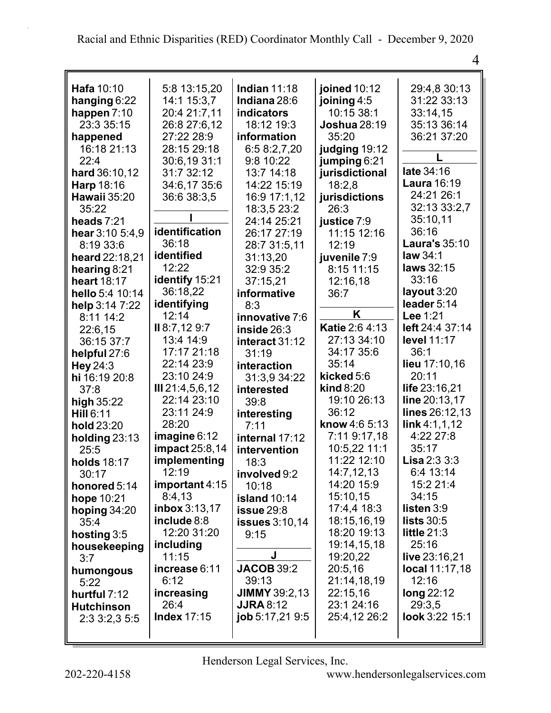| Hafa 10:10          | 5:8 13:15,20          | <b>Indian 11:18</b>  | joined 10:12          | 29:4,8 30:13      |
|---------------------|-----------------------|----------------------|-----------------------|-------------------|
| hanging 6:22        | 14:1 15:3,7           | Indiana 28:6         | joining 4:5           | 31:22 33:13       |
| happen $7:10$       | 20:4 21:7,11          | <b>indicators</b>    | 10:15 38:1            | 33:14,15          |
| 23:3 35:15          | 26:8 27:6,12          | 18:12 19:3           | <b>Joshua</b> 28:19   | 35:13 36:14       |
| happened            | 27:22 28:9            | information          | 35:20                 | 36:21 37:20       |
| 16:18 21:13         | 28:15 29:18           | 6:5 8:2,7,20         | judging 19:12         |                   |
| 22:4                | 30:6,19 31:1          | 9:8 10:22            | jumping 6:21          |                   |
| hard 36:10,12       | 31:7 32:12            | 13:7 14:18           | jurisdictional        | late 34:16        |
| Harp 18:16          | 34:6,17 35:6          | 14:22 15:19          | 18:2,8                | Laura 16:19       |
| Hawaii 35:20        | 36:6 38:3.5           | 16:9 17:1,12         | jurisdictions         | 24:21 26:1        |
| 35:22               |                       | 18:3,5 23:2          | 26:3                  | 32:13 33:2,7      |
| heads $7:21$        |                       | 24:14 25:21          | justice 7:9           | 35:10,11          |
| hear $3:10, 5:4, 9$ | identification        | 26:17 27:19          | 11:15 12:16           | 36:16             |
| 8:19 33:6           | 36:18                 | 28:7 31:5,11         | 12:19                 | Laura's 35:10     |
| heard 22:18,21      | identified            | 31:13,20             | juvenile 7:9          | law 34:1          |
| hearing 8:21        | 12:22                 | 32:9 35:2            | 8:15 11:15            | laws 32:15        |
| heart 18:17         | identify 15:21        | 37:15,21             | 12:16,18              | 33:16             |
| hello 5:4 10:14     | 36:18,22              | informative          | 36:7                  | layout 3:20       |
| help 3:14 7:22      | identifying           | 8:3                  |                       | leader 5:14       |
| 8:11 14:2           | 12:14                 | innovative 7:6       | K                     | Lee 1:21          |
| 22:6,15             | II 8:7,12 9:7         | inside $26:3$        | Katie 2:6 4:13        | left 24:4 37:14   |
| 36:15 37:7          | 13:4 14:9             | interact 31:12       | 27:13 34:10           | level 11:17       |
| helpful 27:6        | 17:17 21:18           | 31:19                | 34:17 35:6            | 36:1              |
| Hey 24:3            | 22:14 23:9            | interaction          | 35:14                 | lieu 17:10,16     |
| hi 16:19 20:8       | 23:10 24:9            | 31:3,9 34:22         | kicked 5:6            | 20:11             |
| 37:8                | III 21:4,5,6,12       | interested           | $\mathbf{kind}\,8:20$ | life 23:16,21     |
| high 35:22          | 22:14 23:10           | 39:8                 | 19:10 26:13           | line 20:13,17     |
| <b>Hill 6:11</b>    | 23:11 24:9            | interesting          | 36:12                 | lines 26:12,13    |
| hold 23:20          | 28:20                 | 7:11                 | know 4:6 5:13         | link 4:1,1,12     |
| holding $23:13$     | imagine $6:12$        | internal 17:12       | 7:11 9:17,18          | 4:22 27:8         |
| 25:5                | <b>impact</b> 25:8,14 | intervention         | 10:5,22 11:1          | 35:17             |
| <b>holds</b> 18:17  | implementing          | 18:3                 | 11:22 12:10           | Lisa $2:33:3$     |
| 30:17               | 12:19                 | involved 9:2         | 14:7,12,13            | 6:4 13:14         |
| honored 5:14        | important $4:15$      | 10:18                | 14:20 15:9            | 15:2 21:4         |
| hope 10:21          | 8:4,13                | island 10:14         | 15:10,15              | 34:15             |
| hoping $34:20$      | inbox 3:13,17         | is sue 29:8          | 17:4,4 18:3           | listen $3:9$      |
| 35:4                | include 8:8           | issues 3:10,14       | 18:15,16,19           | <b>lists</b> 30:5 |
| hosting $3:5$       | 12:20 31:20           | 9:15                 | 18:20 19:13           | little $21:3$     |
| housekeeping        | including             |                      | 19:14,15,18           | 25:16             |
| 3:7                 | 11:15                 | J                    | 19:20,22              | live 23:16,21     |
| humongous           | increase 6:11         | <b>JACOB 39:2</b>    | 20:5,16               | local 11:17,18    |
| 5:22                | 6:12                  | 39:13                | 21:14,18,19           | 12:16             |
| hurtful 7:12        | increasing            | <b>JIMMY</b> 39:2,13 | 22:15,16              | long $22:12$      |
| <b>Hutchinson</b>   | 26:4                  | <b>JJRA 8:12</b>     | 23:1 24:16            | 29:3,5            |
| 2:33:2,35:5         | <b>Index 17:15</b>    | job 5:17,21 9:5      | 25:4,12 26:2          | look 3:22 15:1    |
|                     |                       |                      |                       |                   |
|                     |                       |                      |                       |                   |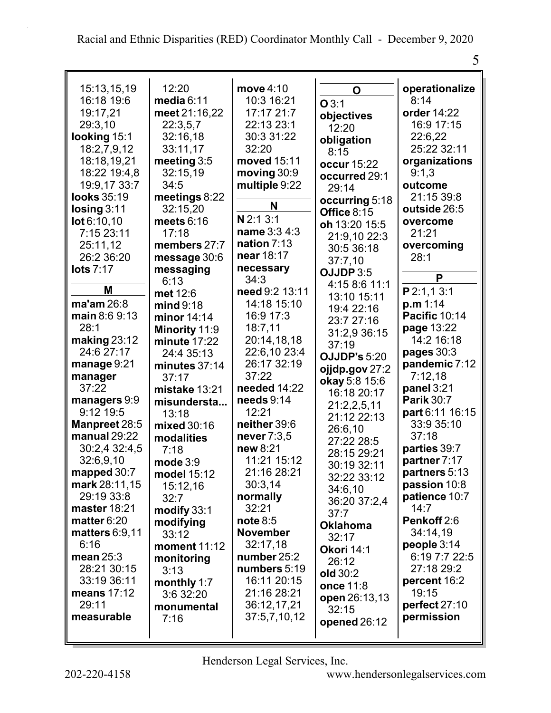| ı<br>۰. |
|---------|

| 15:13,15,19                  | 12:20           | move $4:10$     | O                   | operationalize                |
|------------------------------|-----------------|-----------------|---------------------|-------------------------------|
| 16:18 19:6                   | media $6:11$    | 10:3 16:21      | O3:1                | 8:14                          |
| 19:17,21                     | meet 21:16,22   | 17:17 21:7      | objectives          | order 14:22                   |
| 29:3,10                      | 22:3,5,7        | 22:13 23:1      | 12:20               | 16:9 17:15                    |
| looking 15:1                 | 32:16,18        | 30:3 31:22      | obligation          | 22:6,22                       |
| 18:2,7,9,12                  | 33:11,17        | 32:20           | 8:15                | 25:22 32:11                   |
| 18:18,19,21                  | meeting 3:5     | moved 15:11     | occur 15:22         | organizations                 |
| 18:22 19:4,8                 | 32:15,19        | moving $30:9$   | occurred 29:1       | 9:1,3                         |
| 19:9,17 33:7                 | 34:5            | multiple 9:22   | 29:14               | outcome                       |
| looks 35:19                  | meetings 8:22   |                 | occurring 5:18      | 21:15 39:8                    |
| Iosing 3:11                  | 32:15,20        | N               | Office 8:15         | outside 26:5                  |
| lot 6:10,10                  | meets $6:16$    | N 2:1 3:1       | oh 13:20 15:5       | overcome                      |
| 7:15 23:11                   | 17:18           | name 3:3 4:3    | 21:9,10 22:3        | 21:21                         |
| 25:11,12                     | members 27:7    | nation 7:13     | 30:5 36:18          | overcoming                    |
| 26:2 36:20                   | message 30:6    | near 18:17      |                     | 28:1                          |
| <b>lots 7:17</b>             | messaging       | necessary       | 37:7,10             |                               |
|                              | 6:13            | 34:3            | OJJDP 3:5           | P                             |
| M                            | met 12:6        | need 9:2 13:11  | 4:15 8:6 11:1       | P2:1,13:1                     |
| ma'am 26:8                   | mind 9:18       | 14:18 15:10     | 13:10 15:11         | p.m 1:14                      |
| main 8:6 9:13                | minor $14:14$   | 16:9 17:3       | 19:4 22:16          | Pacific 10:14                 |
| 28:1                         | Minority 11:9   | 18:7.11         | 23:7 27:16          | page 13:22                    |
| making $23:12$               | minute 17:22    | 20:14,18,18     | 31:2,9 36:15        | 14:2 16:18                    |
| 24:6 27:17                   | 24:4 35:13      | 22:6,10 23:4    | 37:19               | pages $30:3$                  |
| manage 9:21                  | minutes $37:14$ | 26:17 32:19     | <b>OJJDP's 5:20</b> | pandemic 7:12                 |
| manager                      | 37:17           | 37:22           | ojjdp.gov 27:2      | 7:12,18                       |
| 37:22                        | mistake 13:21   | needed 14:22    | okay 5:8 15:6       | panel 3:21                    |
| managers 9:9                 | misundersta     | needs 9:14      | 16:18 20:17         | <b>Parik 30:7</b>             |
| 9:12 19:5                    | 13:18           | 12:21           | 21:2,2,5,11         | part 6:11 16:15               |
| Manpreet 28:5                |                 | neither 39:6    | 21:12 22:13         | 33:9 35:10                    |
| manual $29:22$               | mixed 30:16     | never 7:3,5     | 26:6,10             | 37:18                         |
| 30:2,4 32:4,5                | modalities      | new 8:21        | 27:22 28:5          | parties 39:7                  |
| 32:6,9,10                    | 7:18            | 11:21 15:12     | 28:15 29:21         | partner 7:17                  |
|                              | mode $3:9$      | 21:16 28:21     | 30:19 32:11         |                               |
| mapped 30:7<br>mark 28:11,15 | model 15:12     | 30:3,14         | 32:22 33:12         | partners 5:13<br>passion 10:8 |
| 29:19 33:8                   | 15:12,16        |                 | 34:6,10             | patience 10:7                 |
|                              | 32:7            | normally        | 36:20 37:2,4        | 14:7                          |
| master 18:21                 | modify 33:1     | 32:21           | 37:7                |                               |
| matter 6:20                  | modifying       | note 8:5        | <b>Oklahoma</b>     | Penkoff 2:6                   |
| <b>matters 6:9,11</b>        | 33:12           | <b>November</b> | 32:17               | 34:14,19                      |
| 6:16                         | moment 11:12    | 32:17,18        | Okori 14:1          | people 3:14                   |
| mean $25:3$                  | monitoring      | number 25:2     | 26:12               | 6:19 7:7 22:5                 |
| 28:21 30:15                  | 3:13            | numbers 5:19    | old 30:2            | 27:18 29:2                    |
| 33:19 36:11                  | monthly 1:7     | 16:11 20:15     | once 11:8           | percent 16:2                  |
| means 17:12                  | 3:6 32:20       | 21:16 28:21     | open 26:13,13       | 19:15                         |
| 29:11                        | monumental      | 36:12,17,21     | 32:15               | perfect 27:10                 |
| measurable                   | 7:16            | 37:5,7,10,12    | opened 26:12        | permission                    |
|                              |                 |                 |                     |                               |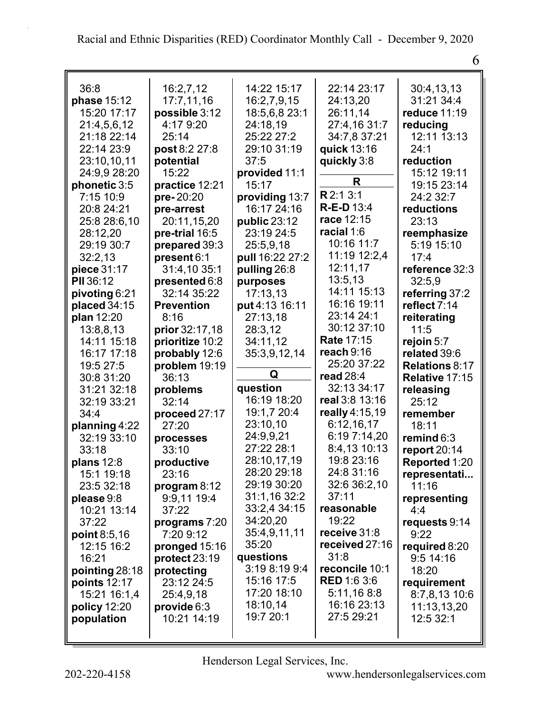| 36:8           | 16:2,7,12             | 14:22 15:17     | 22:14 23:17        | 30:4,13,13            |
|----------------|-----------------------|-----------------|--------------------|-----------------------|
| phase 15:12    | 17:7,11,16            | 16:2,7,9,15     | 24:13,20           | 31:21 34:4            |
| 15:20 17:17    | possible 3:12         | 18:5,6,8 23:1   | 26:11,14           | reduce 11:19          |
| 21:4,5,6,12    | 4:17 9:20             | 24:18,19        | 27:4,16 31:7       | reducing              |
| 21:18 22:14    | 25:14                 | 25:22 27:2      | 34:7,8 37:21       | 12:11 13:13           |
| 22:14 23:9     | post 8:2 27:8         | 29:10 31:19     | quick 13:16        | 24:1                  |
| 23:10,10,11    | potential             | 37:5            | quickly 3:8        | reduction             |
| 24:9,9 28:20   | 15:22                 | provided 11:1   |                    | 15:12 19:11           |
| phonetic 3:5   | practice 12:21        | 15:17           | R                  | 19:15 23:14           |
| 7:15 10:9      | pre-20:20             | providing 13:7  | R 2:1 3:1          | 24:2 32:7             |
| 20:8 24:21     | pre-arrest            | 16:17 24:16     | <b>R-E-D13:4</b>   | reductions            |
| 25:8 28:6,10   | 20:11,15,20           | public 23:12    | race 12:15         | 23:13                 |
| 28:12,20       | pre-trial 16:5        | 23:19 24:5      | racial 1:6         | reemphasize           |
| 29:19 30:7     | prepared 39:3         | 25:5,9,18       | 10:16 11:7         | 5:19 15:10            |
| 32:2,13        | present 6:1           | pull 16:22 27:2 | 11:19 12:2,4       | 17:4                  |
| piece 31:17    | 31:4,10 35:1          | pulling 26:8    | 12:11,17           | reference 32:3        |
| PII 36:12      | presented 6:8         | purposes        | 13:5,13            | 32:5,9                |
| pivoting 6:21  | 32:14 35:22           | 17:13,13        | 14:11 15:13        | referring 37:2        |
| placed 34:15   | <b>Prevention</b>     | put 4:13 16:11  | 16:16 19:11        | reflect 7:14          |
| plan 12:20     | 8:16                  | 27:13,18        | 23:14 24:1         | reiterating           |
| 13:8,8,13      | <b>prior</b> 32:17,18 | 28:3,12         | 30:12 37:10        | 11:5                  |
| 14:11 15:18    | prioritize 10:2       | 34:11,12        | <b>Rate 17:15</b>  | rejoin $5:7$          |
| 16:17 17:18    | probably 12:6         | 35:3,9,12,14    | reach $9:16$       | related 39:6          |
| 19:5 27:5      | problem 19:19         |                 | 25:20 37:22        | <b>Relations 8:17</b> |
| 30:8 31:20     | 36:13                 | Q               | read $28:4$        | Relative 17:15        |
| 31:21 32:18    | problems              | question        | 32:13 34:17        | releasing             |
| 32:19 33:21    | 32:14                 | 16:19 18:20     | real 3:8 13:16     | 25:12                 |
| 34:4           | proceed 27:17         | 19:1,7 20:4     | really 4:15,19     | remember              |
| planning 4:22  | 27:20                 | 23:10,10        | 6:12,16,17         | 18:11                 |
| 32:19 33:10    | processes             | 24:9,9,21       | 6:19 7:14,20       | remind $6:3$          |
| 33:18          | 33:10                 | 27:22 28:1      | 8:4,13 10:13       | report $20:14$        |
| plans $12:8$   | productive            | 28:10,17,19     | 19:8 23:16         | Reported 1:20         |
| 15:1 19:18     | 23:16                 | 28:20 29:18     | 24:8 31:16         | representati          |
| 23:5 32:18     | program $8:12$        | 29:19 30:20     | 32:6 36:2,10       | 11:16                 |
| please 9:8     | 9:9,11 19:4           | 31:1,16 32:2    | 37:11              | representing          |
| 10:21 13:14    | 37:22                 | 33:2,4 34:15    | reasonable         | 4:4                   |
| 37:22          | programs 7:20         | 34:20,20        | 19:22              | requests 9:14         |
| point $8:5,16$ | 7:20 9:12             | 35:4,9,11,11    | receive 31:8       | 9:22                  |
| 12:15 16:2     | pronged 15:16         | 35:20           | received 27:16     | required 8:20         |
| 16:21          | protect 23:19         | questions       | 31:8               | $9:5$ 14:16           |
| pointing 28:18 | protecting            | 3:19 8:19 9:4   | reconcile 10:1     | 18:20                 |
| points 12:17   | 23:12 24:5            | 15:16 17:5      | <b>RED 1:6 3:6</b> | requirement           |
| 15:21 16:1,4   | 25:4,9,18             | 17:20 18:10     | 5:11,168:8         | 8:7,8,13 10:6         |
| policy 12:20   | provide 6:3           | 18:10,14        | 16:16 23:13        | 11:13,13,20           |
| population     | 10:21 14:19           | 19:7 20:1       | 27:5 29:21         | 12:5 32:1             |
|                |                       |                 |                    |                       |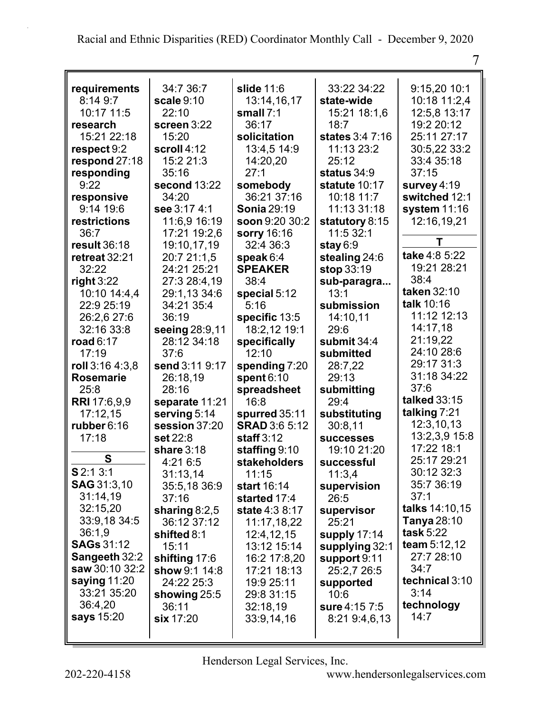| requirements                           | 34:7 36:7       | slide 11:6           | 33:22 34:22      | 9:15,20 10:1                 |
|----------------------------------------|-----------------|----------------------|------------------|------------------------------|
| 8:14 9:7                               | scale 9:10      | 13:14,16,17          | state-wide       | 10:18 11:2,4                 |
| 10:17 11:5                             | 22:10           | small $7:1$          | 15:21 18:1,6     | 12:5,8 13:17                 |
| research                               | screen 3:22     | 36:17                | 18:7             | 19:2 20:12                   |
| 15:21 22:18                            | 15:20           | solicitation         | states 3:4 7:16  | 25:11 27:17                  |
| respect 9:2                            | scroll 4:12     | 13:4,5 14:9          | 11:13 23:2       | 30:5,22 33:2                 |
| respond $27:18$                        | 15:2 21:3       | 14:20,20             | 25:12            | 33:4 35:18                   |
| responding                             | 35:16           | 27:1                 | status 34:9      | 37:15                        |
| 9:22                                   | second 13:22    | somebody             | statute 10:17    | survey 4:19                  |
| responsive                             | 34:20           | 36:21 37:16          | 10:18 11:7       | switched 12:1                |
| 9:14 19:6                              | see 3:17 4:1    | <b>Sonia 29:19</b>   | 11:13 31:18      | system 11:16                 |
| restrictions                           | 11:6,9 16:19    | soon 9:20 30:2       | statutory 8:15   | 12:16,19,21                  |
| 36:7                                   | 17:21 19:2,6    | sorry 16:16          | 11:5 32:1        |                              |
| result 36:18                           | 19:10,17,19     | 32:4 36:3            | stay $6:9$       | Т                            |
| retreat 32:21                          | 20:7 21:1,5     | speak $6:4$          | stealing 24:6    | take 4:8 5:22                |
| 32:22                                  | 24:21 25:21     | <b>SPEAKER</b>       | stop 33:19       | 19:21 28:21                  |
| right $3:22$                           | 27:3 28:4,19    | 38:4                 | sub-paragra      | 38:4                         |
| 10:10 14:4,4                           | 29:1,13 34:6    | special 5:12         | 13:1             | taken 32:10                  |
| 22:9 25:19                             | 34:21 35:4      | 5:16                 | submission       | talk 10:16                   |
| 26:2.6 27:6                            | 36:19           | specific 13:5        | 14:10.11         | 11:12 12:13                  |
| 32:16 33:8                             | seeing 28:9,11  | 18:2,12 19:1         | 29:6             | 14:17,18                     |
| road $6:17$                            | 28:12 34:18     | specifically         | submit $34:4$    | 21:19,22                     |
| 17:19                                  | 37:6            | 12:10                | submitted        | 24:10 28:6                   |
| roll 3:16 4:3,8                        | send 3:11 9:17  | spending 7:20        | 28:7,22          | 29:17 31:3                   |
| <b>Rosemarie</b>                       | 26:18,19        | spent $6:10$         | 29:13            | 31:18 34:22                  |
| 25:8                                   | 28:16           | spreadsheet          | submitting       | 37:6                         |
| <b>RRI</b> 17:6,9,9                    | separate 11:21  | 16:8                 | 29:4             | talked 33:15                 |
| 17:12,15                               | serving 5:14    | spurred 35:11        | substituting     | talking 7:21                 |
| rubber 6:16                            | session 37:20   | <b>SRAD 3:6 5:12</b> | 30:8,11          | 12:3,10,13                   |
| 17:18                                  | set 22:8        | staff $3:12$         | <b>successes</b> | 13:2,3,9 15:8                |
|                                        | share 3:18      | staffing 9:10        | 19:10 21:20      | 17:22 18:1                   |
| S                                      | 4:21 6:5        | stakeholders         | successful       | 25:17 29:21                  |
| \$2:13:1                               | 31:13,14        | 11:15                |                  | 30:12 32:3                   |
| <b>SAG</b> 31:3,10                     | 35:5,18 36:9    | start 16:14          | 11:3,4           | 35:7 36:19                   |
| 31:14,19                               | 37:16           |                      | supervision      | 37:1                         |
| 32:15,20                               |                 | started 17:4         | 26:5             | talks 14:10,15               |
| 33:9,18 34:5                           | sharing $8:2,5$ | state 4:3 8:17       | supervisor       | <b>Tanya</b> 28:10           |
| 36:1,9                                 | 36:12 37:12     | 11:17,18,22          | 25:21            | task $5:22$                  |
|                                        | shifted 8:1     | 12:4,12,15           | supply 17:14     |                              |
| <b>SAGs</b> 31:12                      | 15:11           | 13:12 15:14          | supplying 32:1   | team $5:12,12$<br>27:7 28:10 |
| <b>Sangeeth 32:2</b><br>saw 30:10 32:2 | shifting 17:6   | 16:2 17:8,20         | support 9:11     |                              |
|                                        | show 9:1 14:8   | 17:21 18:13          | 25:2,7 26:5      | 34:7                         |
| saying $11:20$                         | 24:22 25:3      | 19:9 25:11           | supported        | technical 3:10               |
| 33:21 35:20                            | showing $25:5$  | 29:8 31:15           | 10:6             | 3:14                         |
| 36:4,20                                | 36:11           | 32:18,19             | sure 4:15 7:5    | technology                   |
| says 15:20                             | six 17:20       | 33:9,14,16           | 8:219:4,6,13     | 14:7                         |
|                                        |                 |                      |                  |                              |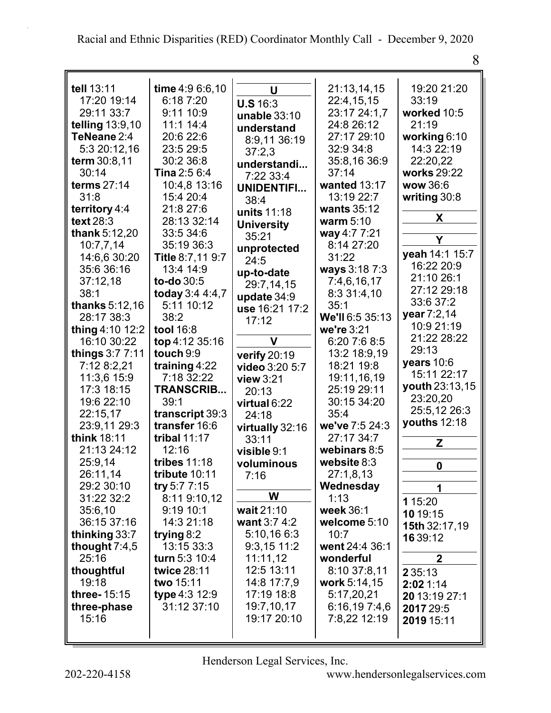| I<br>۴ |  |
|--------|--|
| ×      |  |

| tell 13:11       | time 4:9 6:6,10  | U                 | 21:13,14,15     | 19:20 21:20    |
|------------------|------------------|-------------------|-----------------|----------------|
| 17:20 19:14      | 6:18 7:20        |                   | 22:4,15,15      | 33:19          |
| 29:11 33:7       | 9:11 10:9        | <b>U.S 16:3</b>   | 23:17 24:1,7    | worked 10:5    |
| telling 13:9,10  | 11:1 14:4        | unable 33:10      | 24:8 26:12      | 21:19          |
| TeNeane 2:4      | 20:6 22:6        | understand        | 27:17 29:10     | working $6:10$ |
| 5:3 20:12,16     | 23:5 29:5        | 8:9,11 36:19      | 32:9 34:8       | 14:3 22:19     |
| term 30:8,11     | 30:2 36:8        | 37:2,3            | 35:8,16 36:9    | 22:20,22       |
| 30:14            | Tina 2:5 6:4     | understandi       | 37:14           | works 29:22    |
| terms 27:14      | 10:4,8 13:16     | 7:22 33:4         | wanted 13:17    | wow 36:6       |
| 31:8             | 15:4 20:4        | UNIDENTIFI        | 13:19 22:7      | writing $30:8$ |
| territory 4:4    | 21:8 27:6        | 38:4              | wants 35:12     |                |
| <b>text 28:3</b> | 28:13 32:14      | units 11:18       | warm $5:10$     | X              |
| thank 5:12,20    | 33:5 34:6        | <b>University</b> | way 4:7 7:21    |                |
| 10:7,7,14        | 35:19 36:3       | 35:21             | 8:14 27:20      | Y              |
| 14:6,6 30:20     | Title 8:7,11 9:7 | unprotected       | 31:22           | yeah 14:1 15:7 |
| 35:6 36:16       | 13:4 14:9        | 24:5              | ways 3:18 7:3   | 16:22 20:9     |
| 37:12,18         | to-do 30:5       | up-to-date        | 7:4,6,16,17     | 21:10 26:1     |
| 38:1             | today 3:4 4:4,7  | 29:7,14,15        | 8:3 31:4,10     | 27:12 29:18    |
| thanks 5:12,16   | 5:11 10:12       | update 34:9       | 35:1            | 33:6 37:2      |
| 28:17 38:3       | 38:2             | use 16:21 17:2    | We'll 6:5 35:13 | year 7:2,14    |
| thing 4:10 12:2  | tool 16:8        | 17:12             | we're 3:21      | 10:9 21:19     |
| 16:10 30:22      | top 4:12 35:16   | V                 | 6:20 7:6 8:5    | 21:22 28:22    |
| things $3:77:11$ | touch 9:9        |                   | 13:2 18:9,19    | 29:13          |
| 7:12 8:2,21      | training 4:22    | verify 20:19      | 18:21 19:8      | years $10:6$   |
| 11:3,6 15:9      | 7:18 32:22       | video 3:20 5:7    | 19:11,16,19     | 15:11 22:17    |
| 17:3 18:15       | <b>TRANSCRIB</b> | view $3:21$       | 25:19 29:11     | youth 23:13,15 |
| 19:6 22:10       | 39:1             | 20:13             | 30:15 34:20     | 23:20,20       |
| 22:15,17         | transcript 39:3  | virtual 6:22      | 35:4            | 25:5,12 26:3   |
| 23:9,11 29:3     | transfer 16:6    | 24:18             | we've 7:5 24:3  | youths $12:18$ |
| think 18:11      | tribal $11:17$   | virtually 32:16   | 27:17 34:7      |                |
| 21:13 24:12      | 12:16            | 33:11             | webinars 8:5    | Z              |
| 25:9,14          | tribes 11:18     | visible 9:1       | website 8:3     |                |
| 26:11,14         | tribute 10:11    | voluminous        | 27:1,8,13       | 0              |
| 29:2 30:10       | try 5:7 $7:15$   | 7:16              | Wednesday       |                |
| 31:22 32:2       | 8:11 9:10,12     | W                 | 1:13            | 1              |
| 35:6,10          | 9:1910:1         | wait 21:10        | week 36:1       | 1 15:20        |
| 36:15 37:16      | 14:3 21:18       | want 3:7 4:2      | welcome 5:10    | 10 19:15       |
| thinking 33:7    | trying $8:2$     | 5:10,16 6:3       | 10:7            | 15th 32:17,19  |
| thought $7:4,5$  | 13:15 33:3       | $9:3,15$ 11:2     | went 24:4 36:1  | 16 39:12       |
| 25:16            | turn 5:3 10:4    | 11:11,12          | wonderful       | $\overline{2}$ |
| thoughtful       | twice 28:11      | 12:5 13:11        | 8:10 37:8,11    |                |
| 19:18            | two 15:11        | 14:8 17:7,9       | work 5:14,15    | 2 3 5:13       |
| three-15:15      | type 4:3 12:9    | 17:19 18:8        | 5:17,20,21      | 2:021:14       |
| three-phase      | 31:12 37:10      | 19:7,10,17        | 6:16,197:4,6    | 20 13:19 27:1  |
| 15:16            |                  | 19:17 20:10       | 7:8,22 12:19    | 2017 29:5      |
|                  |                  |                   |                 | 2019 15:11     |
|                  |                  |                   |                 |                |